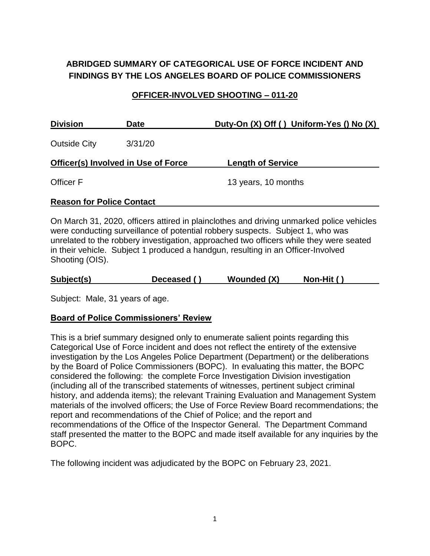# **ABRIDGED SUMMARY OF CATEGORICAL USE OF FORCE INCIDENT AND FINDINGS BY THE LOS ANGELES BOARD OF POLICE COMMISSIONERS**

### **OFFICER-INVOLVED SHOOTING – 011-20**

| <b>Division</b>                            | <b>Date</b> | Duty-On (X) Off () Uniform-Yes () No (X) |  |  |
|--------------------------------------------|-------------|------------------------------------------|--|--|
| <b>Outside City</b>                        | 3/31/20     |                                          |  |  |
| <b>Officer(s) Involved in Use of Force</b> |             | <b>Length of Service</b>                 |  |  |
| <b>Officer F</b>                           |             | 13 years, 10 months                      |  |  |
| <b>Reason for Police Contact</b>           |             |                                          |  |  |

On March 31, 2020, officers attired in plainclothes and driving unmarked police vehicles were conducting surveillance of potential robbery suspects. Subject 1, who was unrelated to the robbery investigation, approached two officers while they were seated in their vehicle. Subject 1 produced a handgun, resulting in an Officer-Involved Shooting (OIS).

| Subject(s) | Deceased ( | Wounded (X) | Non-Hit () |  |
|------------|------------|-------------|------------|--|
|            |            |             |            |  |

Subject: Male, 31 years of age.

#### **Board of Police Commissioners' Review**

This is a brief summary designed only to enumerate salient points regarding this Categorical Use of Force incident and does not reflect the entirety of the extensive investigation by the Los Angeles Police Department (Department) or the deliberations by the Board of Police Commissioners (BOPC). In evaluating this matter, the BOPC considered the following: the complete Force Investigation Division investigation (including all of the transcribed statements of witnesses, pertinent subject criminal history, and addenda items); the relevant Training Evaluation and Management System materials of the involved officers; the Use of Force Review Board recommendations; the report and recommendations of the Chief of Police; and the report and recommendations of the Office of the Inspector General. The Department Command staff presented the matter to the BOPC and made itself available for any inquiries by the BOPC.

The following incident was adjudicated by the BOPC on February 23, 2021.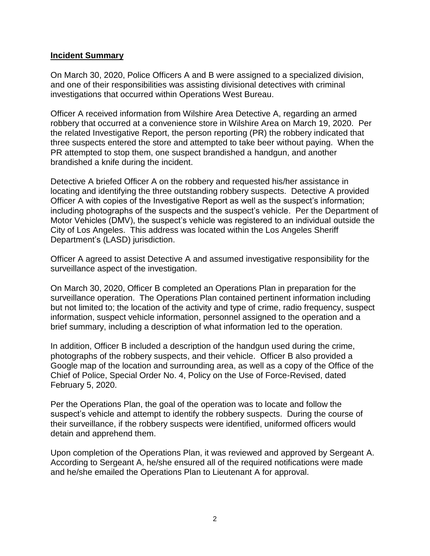#### **Incident Summary**

On March 30, 2020, Police Officers A and B were assigned to a specialized division, and one of their responsibilities was assisting divisional detectives with criminal investigations that occurred within Operations West Bureau.

Officer A received information from Wilshire Area Detective A, regarding an armed robbery that occurred at a convenience store in Wilshire Area on March 19, 2020. Per the related Investigative Report, the person reporting (PR) the robbery indicated that three suspects entered the store and attempted to take beer without paying. When the PR attempted to stop them, one suspect brandished a handgun, and another brandished a knife during the incident.

Detective A briefed Officer A on the robbery and requested his/her assistance in locating and identifying the three outstanding robbery suspects. Detective A provided Officer A with copies of the Investigative Report as well as the suspect's information; including photographs of the suspects and the suspect's vehicle. Per the Department of Motor Vehicles (DMV), the suspect's vehicle was registered to an individual outside the City of Los Angeles. This address was located within the Los Angeles Sheriff Department's (LASD) jurisdiction.

Officer A agreed to assist Detective A and assumed investigative responsibility for the surveillance aspect of the investigation.

On March 30, 2020, Officer B completed an Operations Plan in preparation for the surveillance operation. The Operations Plan contained pertinent information including but not limited to; the location of the activity and type of crime, radio frequency, suspect information, suspect vehicle information, personnel assigned to the operation and a brief summary, including a description of what information led to the operation.

In addition, Officer B included a description of the handgun used during the crime, photographs of the robbery suspects, and their vehicle. Officer B also provided a Google map of the location and surrounding area, as well as a copy of the Office of the Chief of Police, Special Order No. 4, Policy on the Use of Force-Revised, dated February 5, 2020.

Per the Operations Plan, the goal of the operation was to locate and follow the suspect's vehicle and attempt to identify the robbery suspects. During the course of their surveillance, if the robbery suspects were identified, uniformed officers would detain and apprehend them.

Upon completion of the Operations Plan, it was reviewed and approved by Sergeant A. According to Sergeant A, he/she ensured all of the required notifications were made and he/she emailed the Operations Plan to Lieutenant A for approval.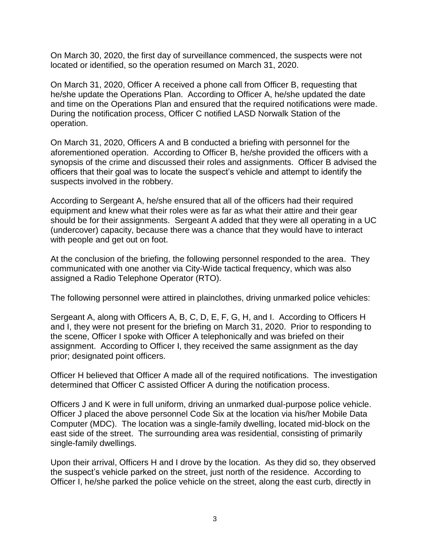On March 30, 2020, the first day of surveillance commenced, the suspects were not located or identified, so the operation resumed on March 31, 2020.

On March 31, 2020, Officer A received a phone call from Officer B, requesting that he/she update the Operations Plan. According to Officer A, he/she updated the date and time on the Operations Plan and ensured that the required notifications were made. During the notification process, Officer C notified LASD Norwalk Station of the operation.

On March 31, 2020, Officers A and B conducted a briefing with personnel for the aforementioned operation. According to Officer B, he/she provided the officers with a synopsis of the crime and discussed their roles and assignments. Officer B advised the officers that their goal was to locate the suspect's vehicle and attempt to identify the suspects involved in the robbery.

According to Sergeant A, he/she ensured that all of the officers had their required equipment and knew what their roles were as far as what their attire and their gear should be for their assignments. Sergeant A added that they were all operating in a UC (undercover) capacity, because there was a chance that they would have to interact with people and get out on foot.

At the conclusion of the briefing, the following personnel responded to the area. They communicated with one another via City-Wide tactical frequency, which was also assigned a Radio Telephone Operator (RTO).

The following personnel were attired in plainclothes, driving unmarked police vehicles:

Sergeant A, along with Officers A, B, C, D, E, F, G, H, and I. According to Officers H and I, they were not present for the briefing on March 31, 2020. Prior to responding to the scene, Officer I spoke with Officer A telephonically and was briefed on their assignment. According to Officer I, they received the same assignment as the day prior; designated point officers.

Officer H believed that Officer A made all of the required notifications. The investigation determined that Officer C assisted Officer A during the notification process.

Officers J and K were in full uniform, driving an unmarked dual-purpose police vehicle. Officer J placed the above personnel Code Six at the location via his/her Mobile Data Computer (MDC). The location was a single-family dwelling, located mid-block on the east side of the street. The surrounding area was residential, consisting of primarily single-family dwellings.

Upon their arrival, Officers H and I drove by the location. As they did so, they observed the suspect's vehicle parked on the street, just north of the residence. According to Officer I, he/she parked the police vehicle on the street, along the east curb, directly in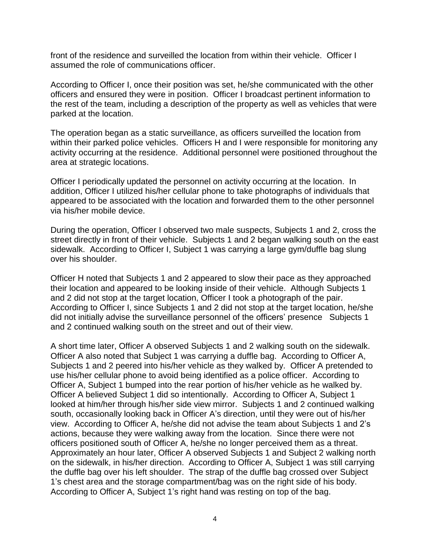front of the residence and surveilled the location from within their vehicle. Officer I assumed the role of communications officer.

According to Officer I, once their position was set, he/she communicated with the other officers and ensured they were in position. Officer I broadcast pertinent information to the rest of the team, including a description of the property as well as vehicles that were parked at the location.

The operation began as a static surveillance, as officers surveilled the location from within their parked police vehicles. Officers H and I were responsible for monitoring any activity occurring at the residence. Additional personnel were positioned throughout the area at strategic locations.

Officer I periodically updated the personnel on activity occurring at the location. In addition, Officer I utilized his/her cellular phone to take photographs of individuals that appeared to be associated with the location and forwarded them to the other personnel via his/her mobile device.

During the operation, Officer I observed two male suspects, Subjects 1 and 2, cross the street directly in front of their vehicle. Subjects 1 and 2 began walking south on the east sidewalk. According to Officer I, Subject 1 was carrying a large gym/duffle bag slung over his shoulder.

Officer H noted that Subjects 1 and 2 appeared to slow their pace as they approached their location and appeared to be looking inside of their vehicle. Although Subjects 1 and 2 did not stop at the target location, Officer I took a photograph of the pair. According to Officer I, since Subjects 1 and 2 did not stop at the target location, he/she did not initially advise the surveillance personnel of the officers' presence Subjects 1 and 2 continued walking south on the street and out of their view.

A short time later, Officer A observed Subjects 1 and 2 walking south on the sidewalk. Officer A also noted that Subject 1 was carrying a duffle bag. According to Officer A, Subjects 1 and 2 peered into his/her vehicle as they walked by. Officer A pretended to use his/her cellular phone to avoid being identified as a police officer. According to Officer A, Subject 1 bumped into the rear portion of his/her vehicle as he walked by. Officer A believed Subject 1 did so intentionally. According to Officer A, Subject 1 looked at him/her through his/her side view mirror. Subjects 1 and 2 continued walking south, occasionally looking back in Officer A's direction, until they were out of his/her view. According to Officer A, he/she did not advise the team about Subjects 1 and 2's actions, because they were walking away from the location. Since there were not officers positioned south of Officer A, he/she no longer perceived them as a threat. Approximately an hour later, Officer A observed Subjects 1 and Subject 2 walking north on the sidewalk, in his/her direction. According to Officer A, Subject 1 was still carrying the duffle bag over his left shoulder. The strap of the duffle bag crossed over Subject 1's chest area and the storage compartment/bag was on the right side of his body. According to Officer A, Subject 1's right hand was resting on top of the bag.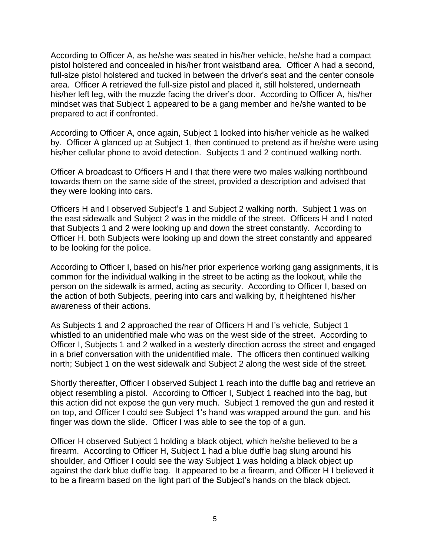According to Officer A, as he/she was seated in his/her vehicle, he/she had a compact pistol holstered and concealed in his/her front waistband area. Officer A had a second, full-size pistol holstered and tucked in between the driver's seat and the center console area. Officer A retrieved the full-size pistol and placed it, still holstered, underneath his/her left leg, with the muzzle facing the driver's door. According to Officer A, his/her mindset was that Subject 1 appeared to be a gang member and he/she wanted to be prepared to act if confronted.

According to Officer A, once again, Subject 1 looked into his/her vehicle as he walked by. Officer A glanced up at Subject 1, then continued to pretend as if he/she were using his/her cellular phone to avoid detection. Subjects 1 and 2 continued walking north.

Officer A broadcast to Officers H and I that there were two males walking northbound towards them on the same side of the street, provided a description and advised that they were looking into cars.

Officers H and I observed Subject's 1 and Subject 2 walking north. Subject 1 was on the east sidewalk and Subject 2 was in the middle of the street. Officers H and I noted that Subjects 1 and 2 were looking up and down the street constantly. According to Officer H, both Subjects were looking up and down the street constantly and appeared to be looking for the police.

According to Officer I, based on his/her prior experience working gang assignments, it is common for the individual walking in the street to be acting as the lookout, while the person on the sidewalk is armed, acting as security. According to Officer I, based on the action of both Subjects, peering into cars and walking by, it heightened his/her awareness of their actions.

As Subjects 1 and 2 approached the rear of Officers H and I's vehicle, Subject 1 whistled to an unidentified male who was on the west side of the street. According to Officer I, Subjects 1 and 2 walked in a westerly direction across the street and engaged in a brief conversation with the unidentified male. The officers then continued walking north; Subject 1 on the west sidewalk and Subject 2 along the west side of the street.

Shortly thereafter, Officer I observed Subject 1 reach into the duffle bag and retrieve an object resembling a pistol. According to Officer I, Subject 1 reached into the bag, but this action did not expose the gun very much. Subject 1 removed the gun and rested it on top, and Officer I could see Subject 1's hand was wrapped around the gun, and his finger was down the slide. Officer I was able to see the top of a gun.

Officer H observed Subject 1 holding a black object, which he/she believed to be a firearm. According to Officer H, Subject 1 had a blue duffle bag slung around his shoulder, and Officer I could see the way Subject 1 was holding a black object up against the dark blue duffle bag. It appeared to be a firearm, and Officer H I believed it to be a firearm based on the light part of the Subject's hands on the black object.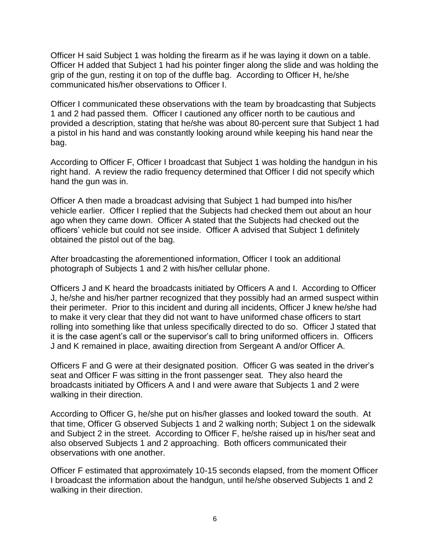Officer H said Subject 1 was holding the firearm as if he was laying it down on a table. Officer H added that Subject 1 had his pointer finger along the slide and was holding the grip of the gun, resting it on top of the duffle bag. According to Officer H, he/she communicated his/her observations to Officer I.

Officer I communicated these observations with the team by broadcasting that Subjects 1 and 2 had passed them. Officer I cautioned any officer north to be cautious and provided a description, stating that he/she was about 80-percent sure that Subject 1 had a pistol in his hand and was constantly looking around while keeping his hand near the bag.

According to Officer F, Officer I broadcast that Subject 1 was holding the handgun in his right hand. A review the radio frequency determined that Officer I did not specify which hand the gun was in.

Officer A then made a broadcast advising that Subject 1 had bumped into his/her vehicle earlier. Officer I replied that the Subjects had checked them out about an hour ago when they came down. Officer A stated that the Subjects had checked out the officers' vehicle but could not see inside. Officer A advised that Subject 1 definitely obtained the pistol out of the bag.

After broadcasting the aforementioned information, Officer I took an additional photograph of Subjects 1 and 2 with his/her cellular phone.

Officers J and K heard the broadcasts initiated by Officers A and I. According to Officer J, he/she and his/her partner recognized that they possibly had an armed suspect within their perimeter. Prior to this incident and during all incidents, Officer J knew he/she had to make it very clear that they did not want to have uniformed chase officers to start rolling into something like that unless specifically directed to do so. Officer J stated that it is the case agent's call or the supervisor's call to bring uniformed officers in. Officers J and K remained in place, awaiting direction from Sergeant A and/or Officer A.

Officers F and G were at their designated position. Officer G was seated in the driver's seat and Officer F was sitting in the front passenger seat. They also heard the broadcasts initiated by Officers A and I and were aware that Subjects 1 and 2 were walking in their direction.

According to Officer G, he/she put on his/her glasses and looked toward the south. At that time, Officer G observed Subjects 1 and 2 walking north; Subject 1 on the sidewalk and Subject 2 in the street. According to Officer F, he/she raised up in his/her seat and also observed Subjects 1 and 2 approaching. Both officers communicated their observations with one another.

Officer F estimated that approximately 10-15 seconds elapsed, from the moment Officer I broadcast the information about the handgun, until he/she observed Subjects 1 and 2 walking in their direction.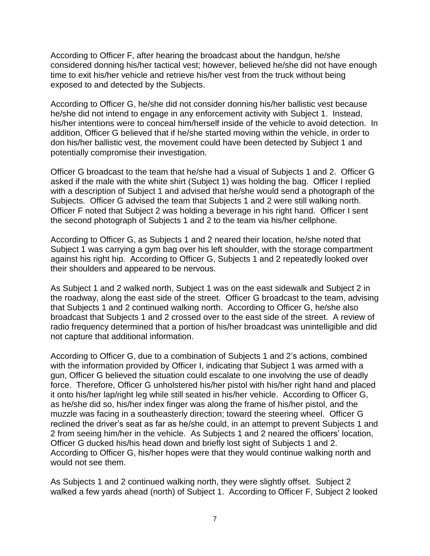According to Officer F, after hearing the broadcast about the handgun, he/she considered donning his/her tactical vest; however, believed he/she did not have enough time to exit his/her vehicle and retrieve his/her vest from the truck without being exposed to and detected by the Subjects.

According to Officer G, he/she did not consider donning his/her ballistic vest because he/she did not intend to engage in any enforcement activity with Subject 1. Instead, his/her intentions were to conceal him/herself inside of the vehicle to avoid detection. In addition, Officer G believed that if he/she started moving within the vehicle, in order to don his/her ballistic vest, the movement could have been detected by Subject 1 and potentially compromise their investigation.

Officer G broadcast to the team that he/she had a visual of Subjects 1 and 2. Officer G asked if the male with the white shirt (Subject 1) was holding the bag. Officer I replied with a description of Subject 1 and advised that he/she would send a photograph of the Subjects. Officer G advised the team that Subjects 1 and 2 were still walking north. Officer F noted that Subject 2 was holding a beverage in his right hand. Officer I sent the second photograph of Subjects 1 and 2 to the team via his/her cellphone.

According to Officer G, as Subjects 1 and 2 neared their location, he/she noted that Subject 1 was carrying a gym bag over his left shoulder, with the storage compartment against his right hip. According to Officer G, Subjects 1 and 2 repeatedly looked over their shoulders and appeared to be nervous.

As Subject 1 and 2 walked north, Subject 1 was on the east sidewalk and Subject 2 in the roadway, along the east side of the street. Officer G broadcast to the team, advising that Subjects 1 and 2 continued walking north. According to Officer G, he/she also broadcast that Subjects 1 and 2 crossed over to the east side of the street. A review of radio frequency determined that a portion of his/her broadcast was unintelligible and did not capture that additional information.

According to Officer G, due to a combination of Subjects 1 and 2's actions, combined with the information provided by Officer I, indicating that Subject 1 was armed with a gun, Officer G believed the situation could escalate to one involving the use of deadly force. Therefore, Officer G unholstered his/her pistol with his/her right hand and placed it onto his/her lap/right leg while still seated in his/her vehicle. According to Officer G, as he/she did so, his/her index finger was along the frame of his/her pistol, and the muzzle was facing in a southeasterly direction; toward the steering wheel. Officer G reclined the driver's seat as far as he/she could, in an attempt to prevent Subjects 1 and 2 from seeing him/her in the vehicle. As Subjects 1 and 2 neared the officers' location, Officer G ducked his/his head down and briefly lost sight of Subjects 1 and 2. According to Officer G, his/her hopes were that they would continue walking north and would not see them.

As Subjects 1 and 2 continued walking north, they were slightly offset. Subject 2 walked a few yards ahead (north) of Subject 1. According to Officer F, Subject 2 looked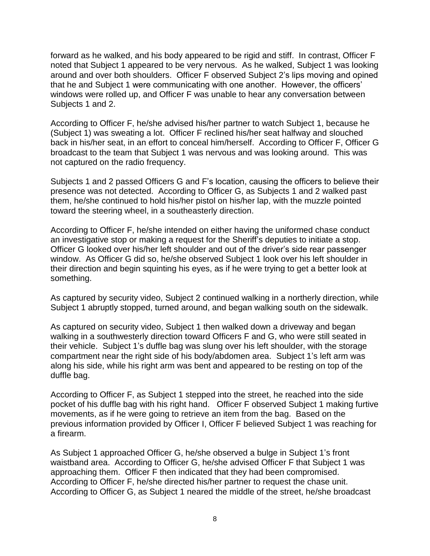forward as he walked, and his body appeared to be rigid and stiff. In contrast, Officer F noted that Subject 1 appeared to be very nervous. As he walked, Subject 1 was looking around and over both shoulders. Officer F observed Subject 2's lips moving and opined that he and Subject 1 were communicating with one another. However, the officers' windows were rolled up, and Officer F was unable to hear any conversation between Subjects 1 and 2.

According to Officer F, he/she advised his/her partner to watch Subject 1, because he (Subject 1) was sweating a lot. Officer F reclined his/her seat halfway and slouched back in his/her seat, in an effort to conceal him/herself. According to Officer F, Officer G broadcast to the team that Subject 1 was nervous and was looking around. This was not captured on the radio frequency.

Subjects 1 and 2 passed Officers G and F's location, causing the officers to believe their presence was not detected. According to Officer G, as Subjects 1 and 2 walked past them, he/she continued to hold his/her pistol on his/her lap, with the muzzle pointed toward the steering wheel, in a southeasterly direction.

According to Officer F, he/she intended on either having the uniformed chase conduct an investigative stop or making a request for the Sheriff's deputies to initiate a stop. Officer G looked over his/her left shoulder and out of the driver's side rear passenger window. As Officer G did so, he/she observed Subject 1 look over his left shoulder in their direction and begin squinting his eyes, as if he were trying to get a better look at something.

As captured by security video, Subject 2 continued walking in a northerly direction, while Subject 1 abruptly stopped, turned around, and began walking south on the sidewalk.

As captured on security video, Subject 1 then walked down a driveway and began walking in a southwesterly direction toward Officers F and G, who were still seated in their vehicle. Subject 1's duffle bag was slung over his left shoulder, with the storage compartment near the right side of his body/abdomen area. Subject 1's left arm was along his side, while his right arm was bent and appeared to be resting on top of the duffle bag.

According to Officer F, as Subject 1 stepped into the street, he reached into the side pocket of his duffle bag with his right hand. Officer F observed Subject 1 making furtive movements, as if he were going to retrieve an item from the bag. Based on the previous information provided by Officer I, Officer F believed Subject 1 was reaching for a firearm.

As Subject 1 approached Officer G, he/she observed a bulge in Subject 1's front waistband area. According to Officer G, he/she advised Officer F that Subject 1 was approaching them. Officer F then indicated that they had been compromised. According to Officer F, he/she directed his/her partner to request the chase unit. According to Officer G, as Subject 1 neared the middle of the street, he/she broadcast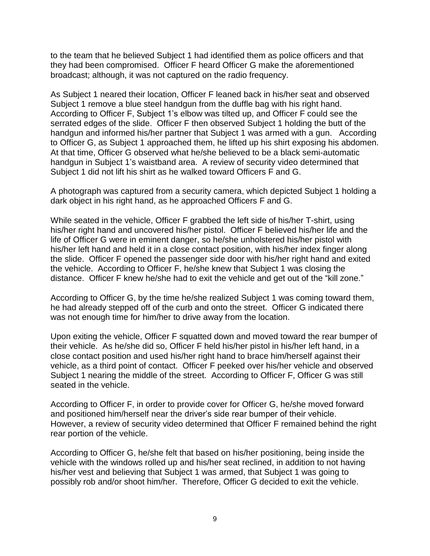to the team that he believed Subject 1 had identified them as police officers and that they had been compromised. Officer F heard Officer G make the aforementioned broadcast; although, it was not captured on the radio frequency.

As Subject 1 neared their location, Officer F leaned back in his/her seat and observed Subject 1 remove a blue steel handgun from the duffle bag with his right hand. According to Officer F, Subject 1's elbow was tilted up, and Officer F could see the serrated edges of the slide. Officer F then observed Subject 1 holding the butt of the handgun and informed his/her partner that Subject 1 was armed with a gun. According to Officer G, as Subject 1 approached them, he lifted up his shirt exposing his abdomen. At that time, Officer G observed what he/she believed to be a black semi-automatic handgun in Subject 1's waistband area. A review of security video determined that Subject 1 did not lift his shirt as he walked toward Officers F and G.

A photograph was captured from a security camera, which depicted Subject 1 holding a dark object in his right hand, as he approached Officers F and G.

While seated in the vehicle, Officer F grabbed the left side of his/her T-shirt, using his/her right hand and uncovered his/her pistol. Officer F believed his/her life and the life of Officer G were in eminent danger, so he/she unholstered his/her pistol with his/her left hand and held it in a close contact position, with his/her index finger along the slide. Officer F opened the passenger side door with his/her right hand and exited the vehicle. According to Officer F, he/she knew that Subject 1 was closing the distance. Officer F knew he/she had to exit the vehicle and get out of the "kill zone."

According to Officer G, by the time he/she realized Subject 1 was coming toward them, he had already stepped off of the curb and onto the street. Officer G indicated there was not enough time for him/her to drive away from the location.

Upon exiting the vehicle, Officer F squatted down and moved toward the rear bumper of their vehicle. As he/she did so, Officer F held his/her pistol in his/her left hand, in a close contact position and used his/her right hand to brace him/herself against their vehicle, as a third point of contact. Officer F peeked over his/her vehicle and observed Subject 1 nearing the middle of the street. According to Officer F, Officer G was still seated in the vehicle.

According to Officer F, in order to provide cover for Officer G, he/she moved forward and positioned him/herself near the driver's side rear bumper of their vehicle. However, a review of security video determined that Officer F remained behind the right rear portion of the vehicle.

According to Officer G, he/she felt that based on his/her positioning, being inside the vehicle with the windows rolled up and his/her seat reclined, in addition to not having his/her vest and believing that Subject 1 was armed, that Subject 1 was going to possibly rob and/or shoot him/her. Therefore, Officer G decided to exit the vehicle.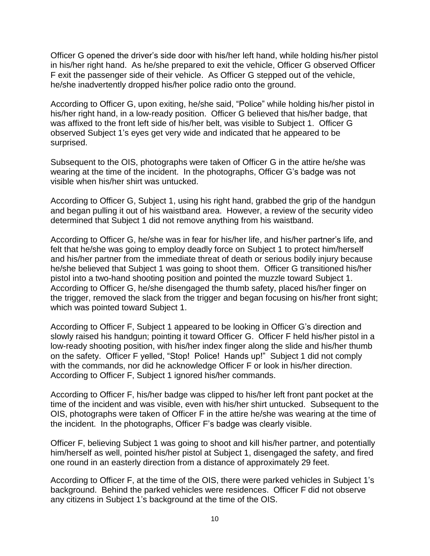Officer G opened the driver's side door with his/her left hand, while holding his/her pistol in his/her right hand. As he/she prepared to exit the vehicle, Officer G observed Officer F exit the passenger side of their vehicle. As Officer G stepped out of the vehicle, he/she inadvertently dropped his/her police radio onto the ground.

According to Officer G, upon exiting, he/she said, "Police" while holding his/her pistol in his/her right hand, in a low-ready position. Officer G believed that his/her badge, that was affixed to the front left side of his/her belt, was visible to Subject 1. Officer G observed Subject 1's eyes get very wide and indicated that he appeared to be surprised.

Subsequent to the OIS, photographs were taken of Officer G in the attire he/she was wearing at the time of the incident. In the photographs, Officer G's badge was not visible when his/her shirt was untucked.

According to Officer G, Subject 1, using his right hand, grabbed the grip of the handgun and began pulling it out of his waistband area. However, a review of the security video determined that Subject 1 did not remove anything from his waistband.

According to Officer G, he/she was in fear for his/her life, and his/her partner's life, and felt that he/she was going to employ deadly force on Subject 1 to protect him/herself and his/her partner from the immediate threat of death or serious bodily injury because he/she believed that Subject 1 was going to shoot them. Officer G transitioned his/her pistol into a two-hand shooting position and pointed the muzzle toward Subject 1. According to Officer G, he/she disengaged the thumb safety, placed his/her finger on the trigger, removed the slack from the trigger and began focusing on his/her front sight; which was pointed toward Subject 1.

According to Officer F, Subject 1 appeared to be looking in Officer G's direction and slowly raised his handgun; pointing it toward Officer G. Officer F held his/her pistol in a low-ready shooting position, with his/her index finger along the slide and his/her thumb on the safety. Officer F yelled, "Stop! Police! Hands up!" Subject 1 did not comply with the commands, nor did he acknowledge Officer F or look in his/her direction. According to Officer F, Subject 1 ignored his/her commands.

According to Officer F, his/her badge was clipped to his/her left front pant pocket at the time of the incident and was visible, even with his/her shirt untucked. Subsequent to the OIS, photographs were taken of Officer F in the attire he/she was wearing at the time of the incident. In the photographs, Officer F's badge was clearly visible.

Officer F, believing Subject 1 was going to shoot and kill his/her partner, and potentially him/herself as well, pointed his/her pistol at Subject 1, disengaged the safety, and fired one round in an easterly direction from a distance of approximately 29 feet.

According to Officer F, at the time of the OIS, there were parked vehicles in Subject 1's background. Behind the parked vehicles were residences. Officer F did not observe any citizens in Subject 1's background at the time of the OIS.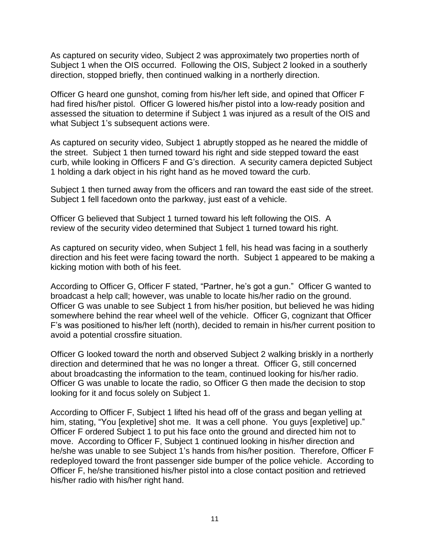As captured on security video, Subject 2 was approximately two properties north of Subject 1 when the OIS occurred. Following the OIS, Subject 2 looked in a southerly direction, stopped briefly, then continued walking in a northerly direction.

Officer G heard one gunshot, coming from his/her left side, and opined that Officer F had fired his/her pistol. Officer G lowered his/her pistol into a low-ready position and assessed the situation to determine if Subject 1 was injured as a result of the OIS and what Subject 1's subsequent actions were.

As captured on security video, Subject 1 abruptly stopped as he neared the middle of the street. Subject 1 then turned toward his right and side stepped toward the east curb, while looking in Officers F and G's direction. A security camera depicted Subject 1 holding a dark object in his right hand as he moved toward the curb.

Subject 1 then turned away from the officers and ran toward the east side of the street. Subject 1 fell facedown onto the parkway, just east of a vehicle.

Officer G believed that Subject 1 turned toward his left following the OIS. A review of the security video determined that Subject 1 turned toward his right.

As captured on security video, when Subject 1 fell, his head was facing in a southerly direction and his feet were facing toward the north. Subject 1 appeared to be making a kicking motion with both of his feet.

According to Officer G, Officer F stated, "Partner, he's got a gun." Officer G wanted to broadcast a help call; however, was unable to locate his/her radio on the ground. Officer G was unable to see Subject 1 from his/her position, but believed he was hiding somewhere behind the rear wheel well of the vehicle. Officer G, cognizant that Officer F's was positioned to his/her left (north), decided to remain in his/her current position to avoid a potential crossfire situation.

Officer G looked toward the north and observed Subject 2 walking briskly in a northerly direction and determined that he was no longer a threat. Officer G, still concerned about broadcasting the information to the team, continued looking for his/her radio. Officer G was unable to locate the radio, so Officer G then made the decision to stop looking for it and focus solely on Subject 1.

According to Officer F, Subject 1 lifted his head off of the grass and began yelling at him, stating, "You [expletive] shot me. It was a cell phone. You guys [expletive] up." Officer F ordered Subject 1 to put his face onto the ground and directed him not to move. According to Officer F, Subject 1 continued looking in his/her direction and he/she was unable to see Subject 1's hands from his/her position. Therefore, Officer F redeployed toward the front passenger side bumper of the police vehicle. According to Officer F, he/she transitioned his/her pistol into a close contact position and retrieved his/her radio with his/her right hand.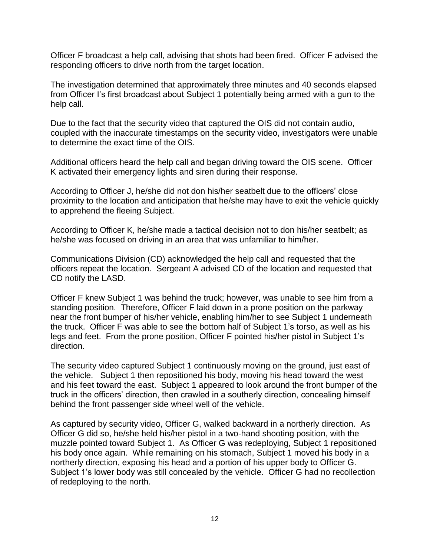Officer F broadcast a help call, advising that shots had been fired. Officer F advised the responding officers to drive north from the target location.

The investigation determined that approximately three minutes and 40 seconds elapsed from Officer I's first broadcast about Subject 1 potentially being armed with a gun to the help call.

Due to the fact that the security video that captured the OIS did not contain audio, coupled with the inaccurate timestamps on the security video, investigators were unable to determine the exact time of the OIS.

Additional officers heard the help call and began driving toward the OIS scene. Officer K activated their emergency lights and siren during their response.

According to Officer J, he/she did not don his/her seatbelt due to the officers' close proximity to the location and anticipation that he/she may have to exit the vehicle quickly to apprehend the fleeing Subject.

According to Officer K, he/she made a tactical decision not to don his/her seatbelt; as he/she was focused on driving in an area that was unfamiliar to him/her.

Communications Division (CD) acknowledged the help call and requested that the officers repeat the location. Sergeant A advised CD of the location and requested that CD notify the LASD.

Officer F knew Subject 1 was behind the truck; however, was unable to see him from a standing position. Therefore, Officer F laid down in a prone position on the parkway near the front bumper of his/her vehicle, enabling him/her to see Subject 1 underneath the truck. Officer F was able to see the bottom half of Subject 1's torso, as well as his legs and feet. From the prone position, Officer F pointed his/her pistol in Subject 1's direction.

The security video captured Subject 1 continuously moving on the ground, just east of the vehicle. Subject 1 then repositioned his body, moving his head toward the west and his feet toward the east. Subject 1 appeared to look around the front bumper of the truck in the officers' direction, then crawled in a southerly direction, concealing himself behind the front passenger side wheel well of the vehicle.

As captured by security video, Officer G, walked backward in a northerly direction. As Officer G did so, he/she held his/her pistol in a two-hand shooting position, with the muzzle pointed toward Subject 1. As Officer G was redeploying, Subject 1 repositioned his body once again. While remaining on his stomach, Subject 1 moved his body in a northerly direction, exposing his head and a portion of his upper body to Officer G. Subject 1's lower body was still concealed by the vehicle. Officer G had no recollection of redeploying to the north.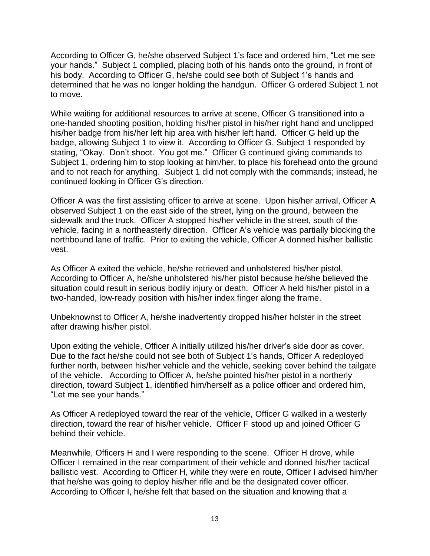According to Officer G, he/she observed Subject 1's face and ordered him, "Let me see your hands." Subject 1 complied, placing both of his hands onto the ground, in front of his body. According to Officer G, he/she could see both of Subject 1's hands and determined that he was no longer holding the handgun. Officer G ordered Subject 1 not to move.

While waiting for additional resources to arrive at scene, Officer G transitioned into a one-handed shooting position, holding his/her pistol in his/her right hand and unclipped his/her badge from his/her left hip area with his/her left hand. Officer G held up the badge, allowing Subject 1 to view it. According to Officer G, Subject 1 responded by stating, "Okay. Don't shoot. You got me." Officer G continued giving commands to Subject 1, ordering him to stop looking at him/her, to place his forehead onto the ground and to not reach for anything. Subject 1 did not comply with the commands; instead, he continued looking in Officer G's direction.

Officer A was the first assisting officer to arrive at scene. Upon his/her arrival, Officer A observed Subject 1 on the east side of the street, lying on the ground, between the sidewalk and the truck. Officer A stopped his/her vehicle in the street, south of the vehicle, facing in a northeasterly direction. Officer A's vehicle was partially blocking the northbound lane of traffic. Prior to exiting the vehicle, Officer A donned his/her ballistic vest.

As Officer A exited the vehicle, he/she retrieved and unholstered his/her pistol. According to Officer A, he/she unholstered his/her pistol because he/she believed the situation could result in serious bodily injury or death. Officer A held his/her pistol in a two-handed, low-ready position with his/her index finger along the frame.

Unbeknownst to Officer A, he/she inadvertently dropped his/her holster in the street after drawing his/her pistol.

Upon exiting the vehicle, Officer A initially utilized his/her driver's side door as cover. Due to the fact he/she could not see both of Subject 1's hands, Officer A redeployed further north, between his/her vehicle and the vehicle, seeking cover behind the tailgate of the vehicle. According to Officer A, he/she pointed his/her pistol in a northerly direction, toward Subject 1, identified him/herself as a police officer and ordered him, "Let me see your hands."

As Officer A redeployed toward the rear of the vehicle, Officer G walked in a westerly direction, toward the rear of his/her vehicle. Officer F stood up and joined Officer G behind their vehicle.

Meanwhile, Officers H and I were responding to the scene. Officer H drove, while Officer I remained in the rear compartment of their vehicle and donned his/her tactical ballistic vest. According to Officer H, while they were en route, Officer I advised him/her that he/she was going to deploy his/her rifle and be the designated cover officer. According to Officer I, he/she felt that based on the situation and knowing that a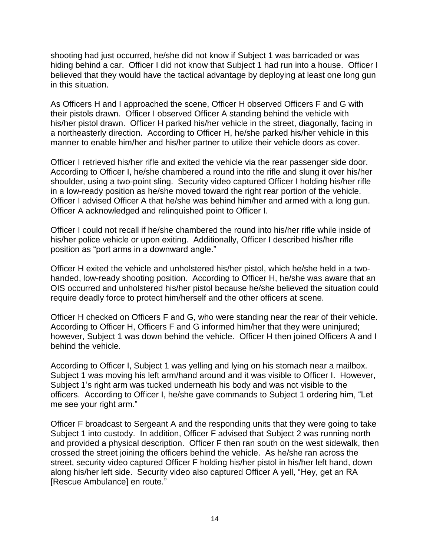shooting had just occurred, he/she did not know if Subject 1 was barricaded or was hiding behind a car. Officer I did not know that Subject 1 had run into a house. Officer I believed that they would have the tactical advantage by deploying at least one long gun in this situation.

As Officers H and I approached the scene, Officer H observed Officers F and G with their pistols drawn. Officer I observed Officer A standing behind the vehicle with his/her pistol drawn. Officer H parked his/her vehicle in the street, diagonally, facing in a northeasterly direction. According to Officer H, he/she parked his/her vehicle in this manner to enable him/her and his/her partner to utilize their vehicle doors as cover.

Officer I retrieved his/her rifle and exited the vehicle via the rear passenger side door. According to Officer I, he/she chambered a round into the rifle and slung it over his/her shoulder, using a two-point sling. Security video captured Officer I holding his/her rifle in a low-ready position as he/she moved toward the right rear portion of the vehicle. Officer I advised Officer A that he/she was behind him/her and armed with a long gun. Officer A acknowledged and relinquished point to Officer I.

Officer I could not recall if he/she chambered the round into his/her rifle while inside of his/her police vehicle or upon exiting. Additionally, Officer I described his/her rifle position as "port arms in a downward angle."

Officer H exited the vehicle and unholstered his/her pistol, which he/she held in a twohanded, low-ready shooting position. According to Officer H, he/she was aware that an OIS occurred and unholstered his/her pistol because he/she believed the situation could require deadly force to protect him/herself and the other officers at scene.

Officer H checked on Officers F and G, who were standing near the rear of their vehicle. According to Officer H, Officers F and G informed him/her that they were uninjured; however, Subject 1 was down behind the vehicle. Officer H then joined Officers A and I behind the vehicle.

According to Officer I, Subject 1 was yelling and lying on his stomach near a mailbox. Subject 1 was moving his left arm/hand around and it was visible to Officer I. However, Subject 1's right arm was tucked underneath his body and was not visible to the officers. According to Officer I, he/she gave commands to Subject 1 ordering him, "Let me see your right arm."

Officer F broadcast to Sergeant A and the responding units that they were going to take Subject 1 into custody. In addition, Officer F advised that Subject 2 was running north and provided a physical description. Officer F then ran south on the west sidewalk, then crossed the street joining the officers behind the vehicle. As he/she ran across the street, security video captured Officer F holding his/her pistol in his/her left hand, down along his/her left side. Security video also captured Officer A yell, "Hey, get an RA [Rescue Ambulance] en route."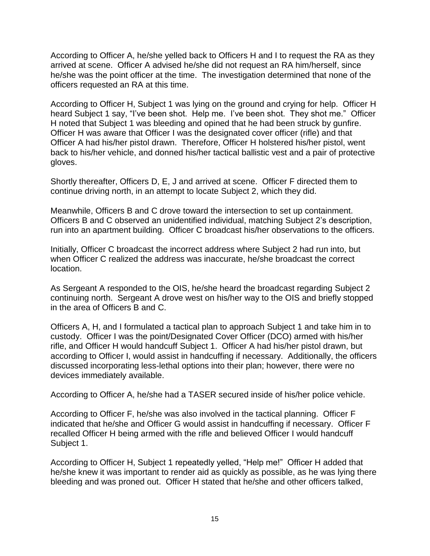According to Officer A, he/she yelled back to Officers H and I to request the RA as they arrived at scene. Officer A advised he/she did not request an RA him/herself, since he/she was the point officer at the time. The investigation determined that none of the officers requested an RA at this time.

According to Officer H, Subject 1 was lying on the ground and crying for help. Officer H heard Subject 1 say, "I've been shot. Help me. I've been shot. They shot me." Officer H noted that Subject 1 was bleeding and opined that he had been struck by gunfire. Officer H was aware that Officer I was the designated cover officer (rifle) and that Officer A had his/her pistol drawn. Therefore, Officer H holstered his/her pistol, went back to his/her vehicle, and donned his/her tactical ballistic vest and a pair of protective gloves.

Shortly thereafter, Officers D, E, J and arrived at scene. Officer F directed them to continue driving north, in an attempt to locate Subject 2, which they did.

Meanwhile, Officers B and C drove toward the intersection to set up containment. Officers B and C observed an unidentified individual, matching Subject 2's description, run into an apartment building. Officer C broadcast his/her observations to the officers.

Initially, Officer C broadcast the incorrect address where Subject 2 had run into, but when Officer C realized the address was inaccurate, he/she broadcast the correct location.

As Sergeant A responded to the OIS, he/she heard the broadcast regarding Subject 2 continuing north. Sergeant A drove west on his/her way to the OIS and briefly stopped in the area of Officers B and C.

Officers A, H, and I formulated a tactical plan to approach Subject 1 and take him in to custody. Officer I was the point/Designated Cover Officer (DCO) armed with his/her rifle, and Officer H would handcuff Subject 1. Officer A had his/her pistol drawn, but according to Officer I, would assist in handcuffing if necessary. Additionally, the officers discussed incorporating less-lethal options into their plan; however, there were no devices immediately available.

According to Officer A, he/she had a TASER secured inside of his/her police vehicle.

According to Officer F, he/she was also involved in the tactical planning. Officer F indicated that he/she and Officer G would assist in handcuffing if necessary. Officer F recalled Officer H being armed with the rifle and believed Officer I would handcuff Subject 1.

According to Officer H, Subject 1 repeatedly yelled, "Help me!" Officer H added that he/she knew it was important to render aid as quickly as possible, as he was lying there bleeding and was proned out. Officer H stated that he/she and other officers talked,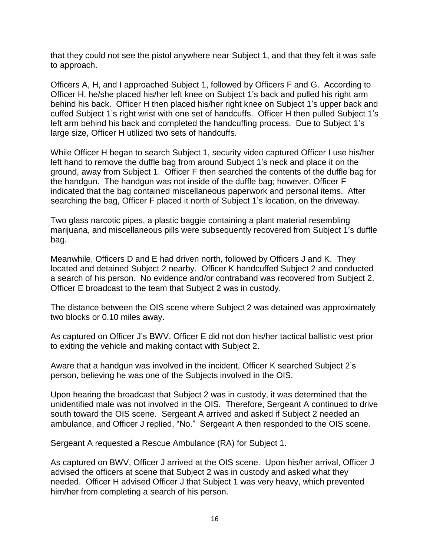that they could not see the pistol anywhere near Subject 1, and that they felt it was safe to approach.

Officers A, H, and I approached Subject 1, followed by Officers F and G. According to Officer H, he/she placed his/her left knee on Subject 1's back and pulled his right arm behind his back. Officer H then placed his/her right knee on Subject 1's upper back and cuffed Subject 1's right wrist with one set of handcuffs. Officer H then pulled Subject 1's left arm behind his back and completed the handcuffing process. Due to Subject 1's large size, Officer H utilized two sets of handcuffs.

While Officer H began to search Subject 1, security video captured Officer I use his/her left hand to remove the duffle bag from around Subject 1's neck and place it on the ground, away from Subject 1. Officer F then searched the contents of the duffle bag for the handgun. The handgun was not inside of the duffle bag; however, Officer F indicated that the bag contained miscellaneous paperwork and personal items. After searching the bag, Officer F placed it north of Subject 1's location, on the driveway.

Two glass narcotic pipes, a plastic baggie containing a plant material resembling marijuana, and miscellaneous pills were subsequently recovered from Subject 1's duffle bag.

Meanwhile, Officers D and E had driven north, followed by Officers J and K. They located and detained Subject 2 nearby. Officer K handcuffed Subject 2 and conducted a search of his person. No evidence and/or contraband was recovered from Subject 2. Officer E broadcast to the team that Subject 2 was in custody.

The distance between the OIS scene where Subject 2 was detained was approximately two blocks or 0.10 miles away.

As captured on Officer J's BWV, Officer E did not don his/her tactical ballistic vest prior to exiting the vehicle and making contact with Subject 2.

Aware that a handgun was involved in the incident, Officer K searched Subject 2's person, believing he was one of the Subjects involved in the OIS.

Upon hearing the broadcast that Subject 2 was in custody, it was determined that the unidentified male was not involved in the OIS. Therefore, Sergeant A continued to drive south toward the OIS scene. Sergeant A arrived and asked if Subject 2 needed an ambulance, and Officer J replied, "No." Sergeant A then responded to the OIS scene.

Sergeant A requested a Rescue Ambulance (RA) for Subject 1.

As captured on BWV, Officer J arrived at the OIS scene. Upon his/her arrival, Officer J advised the officers at scene that Subject 2 was in custody and asked what they needed. Officer H advised Officer J that Subject 1 was very heavy, which prevented him/her from completing a search of his person.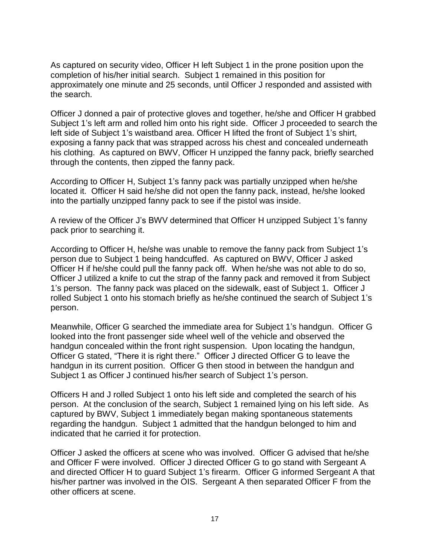As captured on security video, Officer H left Subject 1 in the prone position upon the completion of his/her initial search. Subject 1 remained in this position for approximately one minute and 25 seconds, until Officer J responded and assisted with the search.

Officer J donned a pair of protective gloves and together, he/she and Officer H grabbed Subject 1's left arm and rolled him onto his right side. Officer J proceeded to search the left side of Subject 1's waistband area. Officer H lifted the front of Subject 1's shirt, exposing a fanny pack that was strapped across his chest and concealed underneath his clothing. As captured on BWV, Officer H unzipped the fanny pack, briefly searched through the contents, then zipped the fanny pack.

According to Officer H, Subject 1's fanny pack was partially unzipped when he/she located it. Officer H said he/she did not open the fanny pack, instead, he/she looked into the partially unzipped fanny pack to see if the pistol was inside.

A review of the Officer J's BWV determined that Officer H unzipped Subject 1's fanny pack prior to searching it.

According to Officer H, he/she was unable to remove the fanny pack from Subject 1's person due to Subject 1 being handcuffed. As captured on BWV, Officer J asked Officer H if he/she could pull the fanny pack off. When he/she was not able to do so, Officer J utilized a knife to cut the strap of the fanny pack and removed it from Subject 1's person. The fanny pack was placed on the sidewalk, east of Subject 1. Officer J rolled Subject 1 onto his stomach briefly as he/she continued the search of Subject 1's person.

Meanwhile, Officer G searched the immediate area for Subject 1's handgun. Officer G looked into the front passenger side wheel well of the vehicle and observed the handgun concealed within the front right suspension. Upon locating the handgun, Officer G stated, "There it is right there." Officer J directed Officer G to leave the handgun in its current position. Officer G then stood in between the handgun and Subject 1 as Officer J continued his/her search of Subject 1's person.

Officers H and J rolled Subject 1 onto his left side and completed the search of his person. At the conclusion of the search, Subject 1 remained lying on his left side. As captured by BWV, Subject 1 immediately began making spontaneous statements regarding the handgun. Subject 1 admitted that the handgun belonged to him and indicated that he carried it for protection.

Officer J asked the officers at scene who was involved. Officer G advised that he/she and Officer F were involved. Officer J directed Officer G to go stand with Sergeant A and directed Officer H to guard Subject 1's firearm. Officer G informed Sergeant A that his/her partner was involved in the OIS. Sergeant A then separated Officer F from the other officers at scene.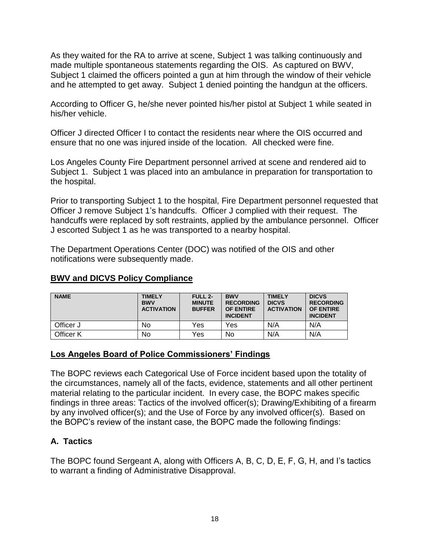As they waited for the RA to arrive at scene, Subject 1 was talking continuously and made multiple spontaneous statements regarding the OIS. As captured on BWV, Subject 1 claimed the officers pointed a gun at him through the window of their vehicle and he attempted to get away. Subject 1 denied pointing the handgun at the officers.

According to Officer G, he/she never pointed his/her pistol at Subject 1 while seated in his/her vehicle.

Officer J directed Officer I to contact the residents near where the OIS occurred and ensure that no one was injured inside of the location. All checked were fine.

Los Angeles County Fire Department personnel arrived at scene and rendered aid to Subject 1. Subject 1 was placed into an ambulance in preparation for transportation to the hospital.

Prior to transporting Subject 1 to the hospital, Fire Department personnel requested that Officer J remove Subject 1's handcuffs. Officer J complied with their request. The handcuffs were replaced by soft restraints, applied by the ambulance personnel. Officer J escorted Subject 1 as he was transported to a nearby hospital.

The Department Operations Center (DOC) was notified of the OIS and other notifications were subsequently made.

## **BWV and DICVS Policy Compliance**

| <b>NAME</b>      | <b>TIMELY</b><br><b>BWV</b><br><b>ACTIVATION</b> | <b>FULL 2-</b><br><b>MINUTE</b><br><b>BUFFER</b> | <b>BWV</b><br><b>RECORDING</b><br><b>OF ENTIRE</b><br><b>INCIDENT</b> | <b>TIMELY</b><br><b>DICVS</b><br><b>ACTIVATION</b> | <b>DICVS</b><br><b>RECORDING</b><br><b>OF ENTIRE</b><br><b>INCIDENT</b> |
|------------------|--------------------------------------------------|--------------------------------------------------|-----------------------------------------------------------------------|----------------------------------------------------|-------------------------------------------------------------------------|
| Officer J        | No                                               | Yes                                              | Yes                                                                   | N/A                                                | N/A                                                                     |
| <b>Officer K</b> | No                                               | Yes                                              | No                                                                    | N/A                                                | N/A                                                                     |

#### **Los Angeles Board of Police Commissioners' Findings**

The BOPC reviews each Categorical Use of Force incident based upon the totality of the circumstances, namely all of the facts, evidence, statements and all other pertinent material relating to the particular incident. In every case, the BOPC makes specific findings in three areas: Tactics of the involved officer(s); Drawing/Exhibiting of a firearm by any involved officer(s); and the Use of Force by any involved officer(s). Based on the BOPC's review of the instant case, the BOPC made the following findings:

## **A. Tactics**

The BOPC found Sergeant A, along with Officers A, B, C, D, E, F, G, H, and I's tactics to warrant a finding of Administrative Disapproval.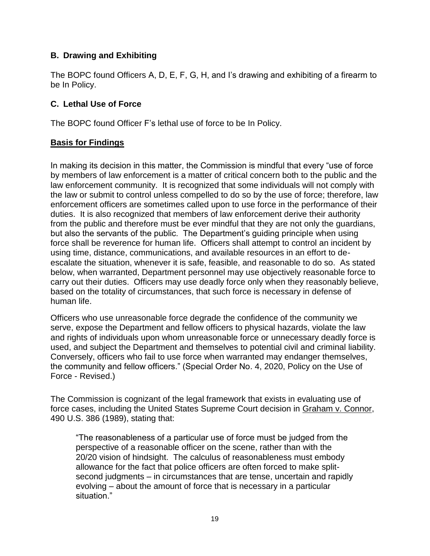# **B. Drawing and Exhibiting**

The BOPC found Officers A, D, E, F, G, H, and I's drawing and exhibiting of a firearm to be In Policy.

# **C. Lethal Use of Force**

The BOPC found Officer F's lethal use of force to be In Policy.

## **Basis for Findings**

In making its decision in this matter, the Commission is mindful that every "use of force by members of law enforcement is a matter of critical concern both to the public and the law enforcement community. It is recognized that some individuals will not comply with the law or submit to control unless compelled to do so by the use of force; therefore, law enforcement officers are sometimes called upon to use force in the performance of their duties. It is also recognized that members of law enforcement derive their authority from the public and therefore must be ever mindful that they are not only the guardians, but also the servants of the public. The Department's guiding principle when using force shall be reverence for human life. Officers shall attempt to control an incident by using time, distance, communications, and available resources in an effort to deescalate the situation, whenever it is safe, feasible, and reasonable to do so. As stated below, when warranted, Department personnel may use objectively reasonable force to carry out their duties. Officers may use deadly force only when they reasonably believe, based on the totality of circumstances, that such force is necessary in defense of human life.

Officers who use unreasonable force degrade the confidence of the community we serve, expose the Department and fellow officers to physical hazards, violate the law and rights of individuals upon whom unreasonable force or unnecessary deadly force is used, and subject the Department and themselves to potential civil and criminal liability. Conversely, officers who fail to use force when warranted may endanger themselves, the community and fellow officers." (Special Order No. 4, 2020, Policy on the Use of Force - Revised.)

The Commission is cognizant of the legal framework that exists in evaluating use of force cases, including the United States Supreme Court decision in Graham v. Connor, 490 U.S. 386 (1989), stating that:

"The reasonableness of a particular use of force must be judged from the perspective of a reasonable officer on the scene, rather than with the 20/20 vision of hindsight. The calculus of reasonableness must embody allowance for the fact that police officers are often forced to make splitsecond judgments – in circumstances that are tense, uncertain and rapidly evolving – about the amount of force that is necessary in a particular situation."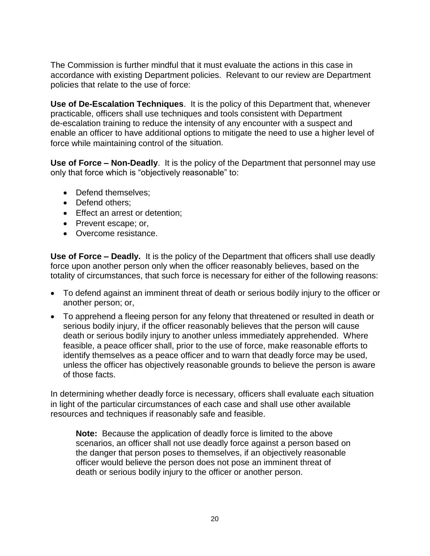The Commission is further mindful that it must evaluate the actions in this case in accordance with existing Department policies. Relevant to our review are Department policies that relate to the use of force:

**Use of De-Escalation Techniques**. It is the policy of this Department that, whenever practicable, officers shall use techniques and tools consistent with Department de-escalation training to reduce the intensity of any encounter with a suspect and enable an officer to have additional options to mitigate the need to use a higher level of force while maintaining control of the situation.

**Use of Force – Non-Deadly**. It is the policy of the Department that personnel may use only that force which is "objectively reasonable" to:

- Defend themselves;
- Defend others:
- Effect an arrest or detention;
- Prevent escape; or,
- Overcome resistance.

**Use of Force – Deadly.** It is the policy of the Department that officers shall use deadly force upon another person only when the officer reasonably believes, based on the totality of circumstances, that such force is necessary for either of the following reasons:

- To defend against an imminent threat of death or serious bodily injury to the officer or another person; or,
- To apprehend a fleeing person for any felony that threatened or resulted in death or serious bodily injury, if the officer reasonably believes that the person will cause death or serious bodily injury to another unless immediately apprehended. Where feasible, a peace officer shall, prior to the use of force, make reasonable efforts to identify themselves as a peace officer and to warn that deadly force may be used, unless the officer has objectively reasonable grounds to believe the person is aware of those facts.

In determining whether deadly force is necessary, officers shall evaluate each situation in light of the particular circumstances of each case and shall use other available resources and techniques if reasonably safe and feasible.

**Note:** Because the application of deadly force is limited to the above scenarios, an officer shall not use deadly force against a person based on the danger that person poses to themselves, if an objectively reasonable officer would believe the person does not pose an imminent threat of death or serious bodily injury to the officer or another person.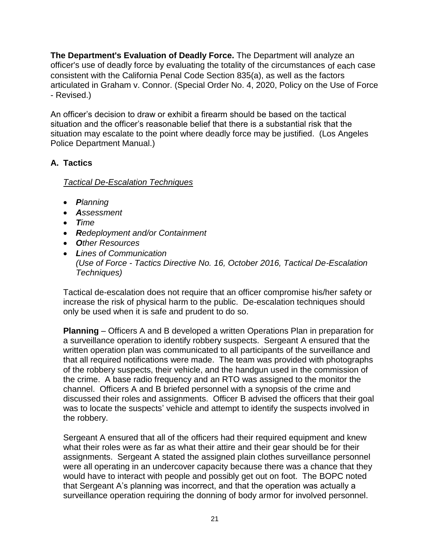**The Department's Evaluation of Deadly Force.** The Department will analyze an officer's use of deadly force by evaluating the totality of the circumstances of each case consistent with the California Penal Code Section 835(a), as well as the factors articulated in Graham v. Connor. (Special Order No. 4, 2020, Policy on the Use of Force - Revised.)

An officer's decision to draw or exhibit a firearm should be based on the tactical situation and the officer's reasonable belief that there is a substantial risk that the situation may escalate to the point where deadly force may be justified. (Los Angeles Police Department Manual.)

# **A. Tactics**

### *Tactical De-Escalation Techniques*

- *Planning*
- *Assessment*
- *Time*
- *Redeployment and/or Containment*
- *Other Resources*
- *Lines of Communication (Use of Force - Tactics Directive No. 16, October 2016, Tactical De-Escalation Techniques)*

Tactical de-escalation does not require that an officer compromise his/her safety or increase the risk of physical harm to the public. De-escalation techniques should only be used when it is safe and prudent to do so.

**Planning** – Officers A and B developed a written Operations Plan in preparation for a surveillance operation to identify robbery suspects. Sergeant A ensured that the written operation plan was communicated to all participants of the surveillance and that all required notifications were made. The team was provided with photographs of the robbery suspects, their vehicle, and the handgun used in the commission of the crime. A base radio frequency and an RTO was assigned to the monitor the channel. Officers A and B briefed personnel with a synopsis of the crime and discussed their roles and assignments. Officer B advised the officers that their goal was to locate the suspects' vehicle and attempt to identify the suspects involved in the robbery.

Sergeant A ensured that all of the officers had their required equipment and knew what their roles were as far as what their attire and their gear should be for their assignments. Sergeant A stated the assigned plain clothes surveillance personnel were all operating in an undercover capacity because there was a chance that they would have to interact with people and possibly get out on foot. The BOPC noted that Sergeant A's planning was incorrect, and that the operation was actually a surveillance operation requiring the donning of body armor for involved personnel.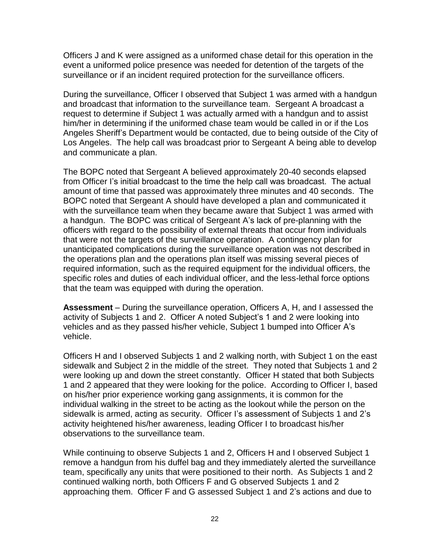Officers J and K were assigned as a uniformed chase detail for this operation in the event a uniformed police presence was needed for detention of the targets of the surveillance or if an incident required protection for the surveillance officers.

During the surveillance, Officer I observed that Subject 1 was armed with a handgun and broadcast that information to the surveillance team. Sergeant A broadcast a request to determine if Subject 1 was actually armed with a handgun and to assist him/her in determining if the uniformed chase team would be called in or if the Los Angeles Sheriff's Department would be contacted, due to being outside of the City of Los Angeles. The help call was broadcast prior to Sergeant A being able to develop and communicate a plan.

The BOPC noted that Sergeant A believed approximately 20-40 seconds elapsed from Officer I's initial broadcast to the time the help call was broadcast. The actual amount of time that passed was approximately three minutes and 40 seconds. The BOPC noted that Sergeant A should have developed a plan and communicated it with the surveillance team when they became aware that Subject 1 was armed with a handgun. The BOPC was critical of Sergeant A's lack of pre-planning with the officers with regard to the possibility of external threats that occur from individuals that were not the targets of the surveillance operation. A contingency plan for unanticipated complications during the surveillance operation was not described in the operations plan and the operations plan itself was missing several pieces of required information, such as the required equipment for the individual officers, the specific roles and duties of each individual officer, and the less-lethal force options that the team was equipped with during the operation.

**Assessment** – During the surveillance operation, Officers A, H, and I assessed the activity of Subjects 1 and 2. Officer A noted Subject's 1 and 2 were looking into vehicles and as they passed his/her vehicle, Subject 1 bumped into Officer A's vehicle.

Officers H and I observed Subjects 1 and 2 walking north, with Subject 1 on the east sidewalk and Subject 2 in the middle of the street. They noted that Subjects 1 and 2 were looking up and down the street constantly. Officer H stated that both Subjects 1 and 2 appeared that they were looking for the police. According to Officer I, based on his/her prior experience working gang assignments, it is common for the individual walking in the street to be acting as the lookout while the person on the sidewalk is armed, acting as security. Officer I's assessment of Subjects 1 and 2's activity heightened his/her awareness, leading Officer I to broadcast his/her observations to the surveillance team.

While continuing to observe Subjects 1 and 2, Officers H and I observed Subject 1 remove a handgun from his duffel bag and they immediately alerted the surveillance team, specifically any units that were positioned to their north. As Subjects 1 and 2 continued walking north, both Officers F and G observed Subjects 1 and 2 approaching them. Officer F and G assessed Subject 1 and 2's actions and due to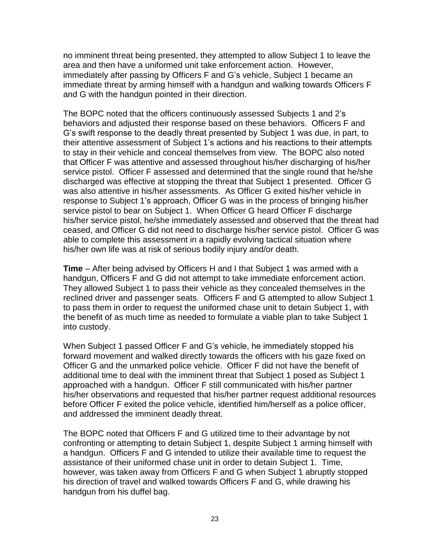no imminent threat being presented, they attempted to allow Subject 1 to leave the area and then have a uniformed unit take enforcement action. However, immediately after passing by Officers F and G's vehicle, Subject 1 became an immediate threat by arming himself with a handgun and walking towards Officers F and G with the handgun pointed in their direction.

The BOPC noted that the officers continuously assessed Subjects 1 and 2's behaviors and adjusted their response based on these behaviors. Officers F and G's swift response to the deadly threat presented by Subject 1 was due, in part, to their attentive assessment of Subject 1's actions and his reactions to their attempts to stay in their vehicle and conceal themselves from view. The BOPC also noted that Officer F was attentive and assessed throughout his/her discharging of his/her service pistol. Officer F assessed and determined that the single round that he/she discharged was effective at stopping the threat that Subject 1 presented. Officer G was also attentive in his/her assessments. As Officer G exited his/her vehicle in response to Subject 1's approach, Officer G was in the process of bringing his/her service pistol to bear on Subject 1. When Officer G heard Officer F discharge his/her service pistol, he/she immediately assessed and observed that the threat had ceased, and Officer G did not need to discharge his/her service pistol. Officer G was able to complete this assessment in a rapidly evolving tactical situation where his/her own life was at risk of serious bodily injury and/or death.

**Time** – After being advised by Officers H and I that Subject 1 was armed with a handgun, Officers F and G did not attempt to take immediate enforcement action. They allowed Subject 1 to pass their vehicle as they concealed themselves in the reclined driver and passenger seats. Officers F and G attempted to allow Subject 1 to pass them in order to request the uniformed chase unit to detain Subject 1, with the benefit of as much time as needed to formulate a viable plan to take Subject 1 into custody.

When Subject 1 passed Officer F and G's vehicle, he immediately stopped his forward movement and walked directly towards the officers with his gaze fixed on Officer G and the unmarked police vehicle. Officer F did not have the benefit of additional time to deal with the imminent threat that Subject 1 posed as Subject 1 approached with a handgun. Officer F still communicated with his/her partner his/her observations and requested that his/her partner request additional resources before Officer F exited the police vehicle, identified him/herself as a police officer, and addressed the imminent deadly threat.

The BOPC noted that Officers F and G utilized time to their advantage by not confronting or attempting to detain Subject 1, despite Subject 1 arming himself with a handgun. Officers F and G intended to utilize their available time to request the assistance of their uniformed chase unit in order to detain Subject 1. Time, however, was taken away from Officers F and G when Subject 1 abruptly stopped his direction of travel and walked towards Officers F and G, while drawing his handgun from his duffel bag.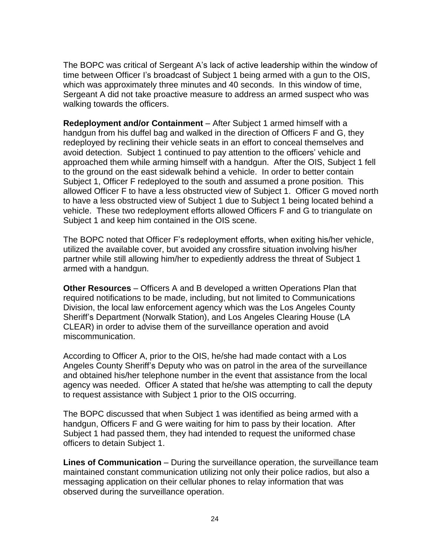The BOPC was critical of Sergeant A's lack of active leadership within the window of time between Officer I's broadcast of Subject 1 being armed with a gun to the OIS, which was approximately three minutes and 40 seconds. In this window of time, Sergeant A did not take proactive measure to address an armed suspect who was walking towards the officers.

**Redeployment and/or Containment** – After Subject 1 armed himself with a handgun from his duffel bag and walked in the direction of Officers F and G, they redeployed by reclining their vehicle seats in an effort to conceal themselves and avoid detection. Subject 1 continued to pay attention to the officers' vehicle and approached them while arming himself with a handgun. After the OIS, Subject 1 fell to the ground on the east sidewalk behind a vehicle. In order to better contain Subject 1, Officer F redeployed to the south and assumed a prone position. This allowed Officer F to have a less obstructed view of Subject 1. Officer G moved north to have a less obstructed view of Subject 1 due to Subject 1 being located behind a vehicle. These two redeployment efforts allowed Officers F and G to triangulate on Subject 1 and keep him contained in the OIS scene.

The BOPC noted that Officer F's redeployment efforts, when exiting his/her vehicle, utilized the available cover, but avoided any crossfire situation involving his/her partner while still allowing him/her to expediently address the threat of Subject 1 armed with a handgun.

**Other Resources** – Officers A and B developed a written Operations Plan that required notifications to be made, including, but not limited to Communications Division, the local law enforcement agency which was the Los Angeles County Sheriff's Department (Norwalk Station), and Los Angeles Clearing House (LA CLEAR) in order to advise them of the surveillance operation and avoid miscommunication.

According to Officer A, prior to the OIS, he/she had made contact with a Los Angeles County Sheriff's Deputy who was on patrol in the area of the surveillance and obtained his/her telephone number in the event that assistance from the local agency was needed. Officer A stated that he/she was attempting to call the deputy to request assistance with Subject 1 prior to the OIS occurring.

The BOPC discussed that when Subject 1 was identified as being armed with a handgun, Officers F and G were waiting for him to pass by their location. After Subject 1 had passed them, they had intended to request the uniformed chase officers to detain Subject 1.

**Lines of Communication** – During the surveillance operation, the surveillance team maintained constant communication utilizing not only their police radios, but also a messaging application on their cellular phones to relay information that was observed during the surveillance operation.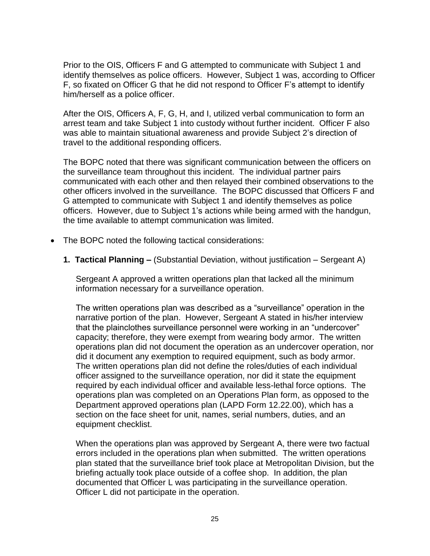Prior to the OIS, Officers F and G attempted to communicate with Subject 1 and identify themselves as police officers. However, Subject 1 was, according to Officer F, so fixated on Officer G that he did not respond to Officer F's attempt to identify him/herself as a police officer.

After the OIS, Officers A, F, G, H, and I, utilized verbal communication to form an arrest team and take Subject 1 into custody without further incident. Officer F also was able to maintain situational awareness and provide Subject 2's direction of travel to the additional responding officers.

The BOPC noted that there was significant communication between the officers on the surveillance team throughout this incident. The individual partner pairs communicated with each other and then relayed their combined observations to the other officers involved in the surveillance. The BOPC discussed that Officers F and G attempted to communicate with Subject 1 and identify themselves as police officers. However, due to Subject 1's actions while being armed with the handgun, the time available to attempt communication was limited.

- The BOPC noted the following tactical considerations:
	- **1. Tactical Planning –** (Substantial Deviation, without justification Sergeant A)

Sergeant A approved a written operations plan that lacked all the minimum information necessary for a surveillance operation.

The written operations plan was described as a "surveillance" operation in the narrative portion of the plan. However, Sergeant A stated in his/her interview that the plainclothes surveillance personnel were working in an "undercover" capacity; therefore, they were exempt from wearing body armor. The written operations plan did not document the operation as an undercover operation, nor did it document any exemption to required equipment, such as body armor. The written operations plan did not define the roles/duties of each individual officer assigned to the surveillance operation, nor did it state the equipment required by each individual officer and available less-lethal force options. The operations plan was completed on an Operations Plan form, as opposed to the Department approved operations plan (LAPD Form 12.22.00), which has a section on the face sheet for unit, names, serial numbers, duties, and an equipment checklist.

When the operations plan was approved by Sergeant A, there were two factual errors included in the operations plan when submitted. The written operations plan stated that the surveillance brief took place at Metropolitan Division, but the briefing actually took place outside of a coffee shop. In addition, the plan documented that Officer L was participating in the surveillance operation. Officer L did not participate in the operation.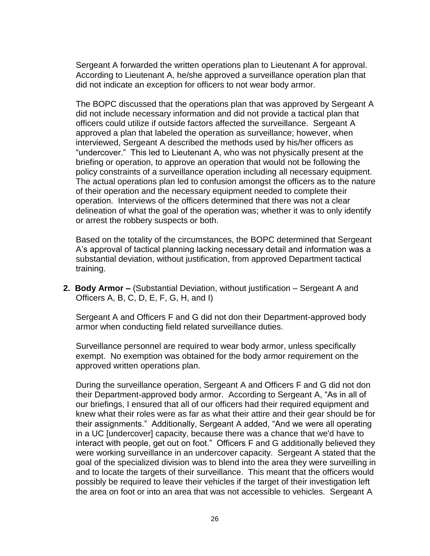Sergeant A forwarded the written operations plan to Lieutenant A for approval. According to Lieutenant A, he/she approved a surveillance operation plan that did not indicate an exception for officers to not wear body armor.

The BOPC discussed that the operations plan that was approved by Sergeant A did not include necessary information and did not provide a tactical plan that officers could utilize if outside factors affected the surveillance. Sergeant A approved a plan that labeled the operation as surveillance; however, when interviewed, Sergeant A described the methods used by his/her officers as "undercover." This led to Lieutenant A, who was not physically present at the briefing or operation, to approve an operation that would not be following the policy constraints of a surveillance operation including all necessary equipment. The actual operations plan led to confusion amongst the officers as to the nature of their operation and the necessary equipment needed to complete their operation. Interviews of the officers determined that there was not a clear delineation of what the goal of the operation was; whether it was to only identify or arrest the robbery suspects or both.

Based on the totality of the circumstances, the BOPC determined that Sergeant A's approval of tactical planning lacking necessary detail and information was a substantial deviation, without justification, from approved Department tactical training.

**2. Body Armor –** (Substantial Deviation, without justification – Sergeant A and Officers A, B, C, D, E, F, G, H, and I)

Sergeant A and Officers F and G did not don their Department-approved body armor when conducting field related surveillance duties.

Surveillance personnel are required to wear body armor, unless specifically exempt. No exemption was obtained for the body armor requirement on the approved written operations plan.

During the surveillance operation, Sergeant A and Officers F and G did not don their Department-approved body armor. According to Sergeant A, "As in all of our briefings, I ensured that all of our officers had their required equipment and knew what their roles were as far as what their attire and their gear should be for their assignments." Additionally, Sergeant A added, "And we were all operating in a UC [undercover] capacity, because there was a chance that we'd have to interact with people, get out on foot." Officers F and G additionally believed they were working surveillance in an undercover capacity. Sergeant A stated that the goal of the specialized division was to blend into the area they were surveilling in and to locate the targets of their surveillance. This meant that the officers would possibly be required to leave their vehicles if the target of their investigation left the area on foot or into an area that was not accessible to vehicles. Sergeant A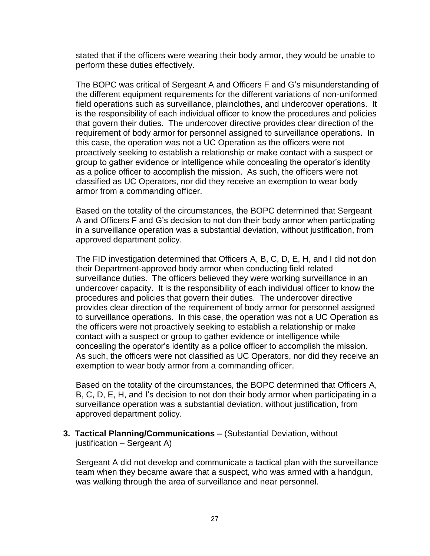stated that if the officers were wearing their body armor, they would be unable to perform these duties effectively.

The BOPC was critical of Sergeant A and Officers F and G's misunderstanding of the different equipment requirements for the different variations of non-uniformed field operations such as surveillance, plainclothes, and undercover operations. It is the responsibility of each individual officer to know the procedures and policies that govern their duties. The undercover directive provides clear direction of the requirement of body armor for personnel assigned to surveillance operations. In this case, the operation was not a UC Operation as the officers were not proactively seeking to establish a relationship or make contact with a suspect or group to gather evidence or intelligence while concealing the operator's identity as a police officer to accomplish the mission. As such, the officers were not classified as UC Operators, nor did they receive an exemption to wear body armor from a commanding officer.

Based on the totality of the circumstances, the BOPC determined that Sergeant A and Officers F and G's decision to not don their body armor when participating in a surveillance operation was a substantial deviation, without justification, from approved department policy.

The FID investigation determined that Officers A, B, C, D, E, H, and I did not don their Department-approved body armor when conducting field related surveillance duties. The officers believed they were working surveillance in an undercover capacity. It is the responsibility of each individual officer to know the procedures and policies that govern their duties. The undercover directive provides clear direction of the requirement of body armor for personnel assigned to surveillance operations. In this case, the operation was not a UC Operation as the officers were not proactively seeking to establish a relationship or make contact with a suspect or group to gather evidence or intelligence while concealing the operator's identity as a police officer to accomplish the mission. As such, the officers were not classified as UC Operators, nor did they receive an exemption to wear body armor from a commanding officer.

Based on the totality of the circumstances, the BOPC determined that Officers A, B, C, D, E, H, and I's decision to not don their body armor when participating in a surveillance operation was a substantial deviation, without justification, from approved department policy.

**3. Tactical Planning/Communications –** (Substantial Deviation, without justification – Sergeant A)

Sergeant A did not develop and communicate a tactical plan with the surveillance team when they became aware that a suspect, who was armed with a handgun, was walking through the area of surveillance and near personnel.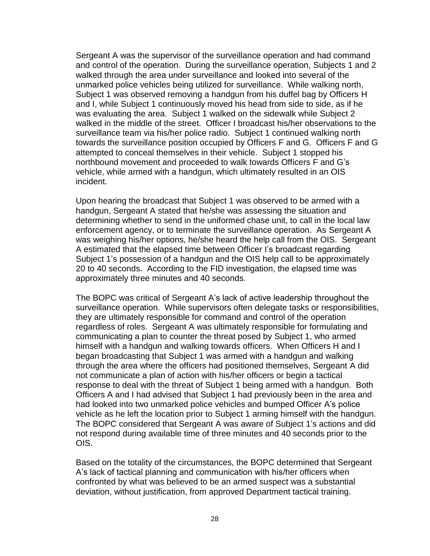Sergeant A was the supervisor of the surveillance operation and had command and control of the operation. During the surveillance operation, Subjects 1 and 2 walked through the area under surveillance and looked into several of the unmarked police vehicles being utilized for surveillance. While walking north, Subject 1 was observed removing a handgun from his duffel bag by Officers H and I, while Subject 1 continuously moved his head from side to side, as if he was evaluating the area. Subject 1 walked on the sidewalk while Subject 2 walked in the middle of the street. Officer I broadcast his/her observations to the surveillance team via his/her police radio. Subject 1 continued walking north towards the surveillance position occupied by Officers F and G. Officers F and G attempted to conceal themselves in their vehicle. Subject 1 stopped his northbound movement and proceeded to walk towards Officers F and G's vehicle, while armed with a handgun, which ultimately resulted in an OIS incident.

Upon hearing the broadcast that Subject 1 was observed to be armed with a handgun, Sergeant A stated that he/she was assessing the situation and determining whether to send in the uniformed chase unit, to call in the local law enforcement agency, or to terminate the surveillance operation. As Sergeant A was weighing his/her options, he/she heard the help call from the OIS. Sergeant A estimated that the elapsed time between Officer I's broadcast regarding Subject 1's possession of a handgun and the OIS help call to be approximately 20 to 40 seconds. According to the FID investigation, the elapsed time was approximately three minutes and 40 seconds.

The BOPC was critical of Sergeant A's lack of active leadership throughout the surveillance operation. While supervisors often delegate tasks or responsibilities, they are ultimately responsible for command and control of the operation regardless of roles. Sergeant A was ultimately responsible for formulating and communicating a plan to counter the threat posed by Subject 1, who armed himself with a handgun and walking towards officers. When Officers H and I began broadcasting that Subject 1 was armed with a handgun and walking through the area where the officers had positioned themselves, Sergeant A did not communicate a plan of action with his/her officers or begin a tactical response to deal with the threat of Subject 1 being armed with a handgun. Both Officers A and I had advised that Subject 1 had previously been in the area and had looked into two unmarked police vehicles and bumped Officer A's police vehicle as he left the location prior to Subject 1 arming himself with the handgun. The BOPC considered that Sergeant A was aware of Subject 1's actions and did not respond during available time of three minutes and 40 seconds prior to the OIS.

Based on the totality of the circumstances, the BOPC determined that Sergeant A's lack of tactical planning and communication with his/her officers when confronted by what was believed to be an armed suspect was a substantial deviation, without justification, from approved Department tactical training.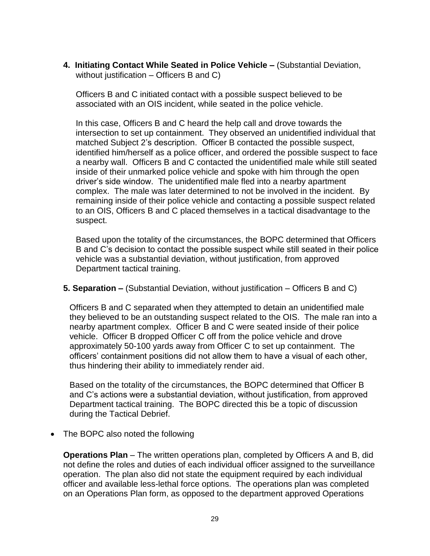**4. Initiating Contact While Seated in Police Vehicle –** (Substantial Deviation, without justification – Officers B and C)

Officers B and C initiated contact with a possible suspect believed to be associated with an OIS incident, while seated in the police vehicle.

In this case, Officers B and C heard the help call and drove towards the intersection to set up containment. They observed an unidentified individual that matched Subject 2's description. Officer B contacted the possible suspect, identified him/herself as a police officer, and ordered the possible suspect to face a nearby wall. Officers B and C contacted the unidentified male while still seated inside of their unmarked police vehicle and spoke with him through the open driver's side window. The unidentified male fled into a nearby apartment complex. The male was later determined to not be involved in the incident. By remaining inside of their police vehicle and contacting a possible suspect related to an OIS, Officers B and C placed themselves in a tactical disadvantage to the suspect.

Based upon the totality of the circumstances, the BOPC determined that Officers B and C's decision to contact the possible suspect while still seated in their police vehicle was a substantial deviation, without justification, from approved Department tactical training.

**5. Separation –** (Substantial Deviation, without justification – Officers B and C)

Officers B and C separated when they attempted to detain an unidentified male they believed to be an outstanding suspect related to the OIS. The male ran into a nearby apartment complex. Officer B and C were seated inside of their police vehicle. Officer B dropped Officer C off from the police vehicle and drove approximately 50-100 yards away from Officer C to set up containment. The officers' containment positions did not allow them to have a visual of each other, thus hindering their ability to immediately render aid.

Based on the totality of the circumstances, the BOPC determined that Officer B and C's actions were a substantial deviation, without justification, from approved Department tactical training. The BOPC directed this be a topic of discussion during the Tactical Debrief.

• The BOPC also noted the following

**Operations Plan** – The written operations plan, completed by Officers A and B, did not define the roles and duties of each individual officer assigned to the surveillance operation. The plan also did not state the equipment required by each individual officer and available less-lethal force options. The operations plan was completed on an Operations Plan form, as opposed to the department approved Operations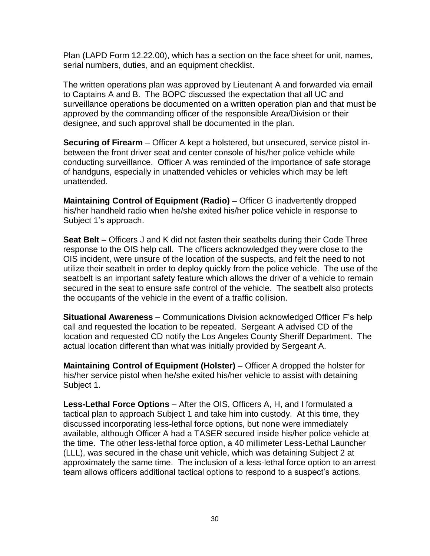Plan (LAPD Form 12.22.00), which has a section on the face sheet for unit, names, serial numbers, duties, and an equipment checklist.

The written operations plan was approved by Lieutenant A and forwarded via email to Captains A and B. The BOPC discussed the expectation that all UC and surveillance operations be documented on a written operation plan and that must be approved by the commanding officer of the responsible Area/Division or their designee, and such approval shall be documented in the plan.

**Securing of Firearm** *–* Officer A kept a holstered, but unsecured, service pistol inbetween the front driver seat and center console of his/her police vehicle while conducting surveillance. Officer A was reminded of the importance of safe storage of handguns, especially in unattended vehicles or vehicles which may be left unattended.

**Maintaining Control of Equipment (Radio)** – Officer G inadvertently dropped his/her handheld radio when he/she exited his/her police vehicle in response to Subject 1's approach.

**Seat Belt –** Officers J and K did not fasten their seatbelts during their Code Three response to the OIS help call. The officers acknowledged they were close to the OIS incident, were unsure of the location of the suspects, and felt the need to not utilize their seatbelt in order to deploy quickly from the police vehicle. The use of the seatbelt is an important safety feature which allows the driver of a vehicle to remain secured in the seat to ensure safe control of the vehicle. The seatbelt also protects the occupants of the vehicle in the event of a traffic collision.

**Situational Awareness** – Communications Division acknowledged Officer F's help call and requested the location to be repeated. Sergeant A advised CD of the location and requested CD notify the Los Angeles County Sheriff Department. The actual location different than what was initially provided by Sergeant A.

**Maintaining Control of Equipment (Holster)** – Officer A dropped the holster for his/her service pistol when he/she exited his/her vehicle to assist with detaining Subject 1.

**Less-Lethal Force Options** – After the OIS, Officers A, H, and I formulated a tactical plan to approach Subject 1 and take him into custody. At this time, they discussed incorporating less-lethal force options, but none were immediately available, although Officer A had a TASER secured inside his/her police vehicle at the time. The other less-lethal force option, a 40 millimeter Less-Lethal Launcher (LLL), was secured in the chase unit vehicle, which was detaining Subject 2 at approximately the same time. The inclusion of a less-lethal force option to an arrest team allows officers additional tactical options to respond to a suspect's actions.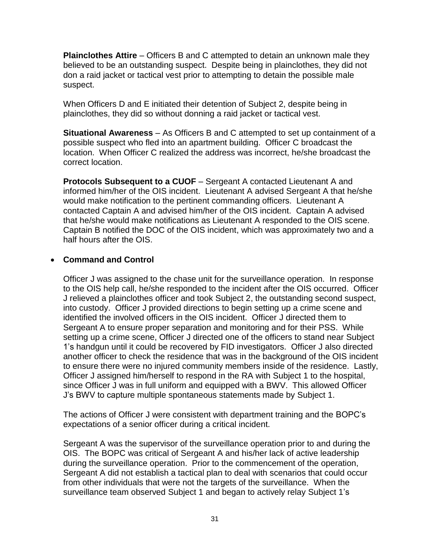**Plainclothes Attire** – Officers B and C attempted to detain an unknown male they believed to be an outstanding suspect. Despite being in plainclothes, they did not don a raid jacket or tactical vest prior to attempting to detain the possible male suspect.

When Officers D and E initiated their detention of Subject 2, despite being in plainclothes, they did so without donning a raid jacket or tactical vest.

**Situational Awareness** – As Officers B and C attempted to set up containment of a possible suspect who fled into an apartment building. Officer C broadcast the location. When Officer C realized the address was incorrect, he/she broadcast the correct location.

**Protocols Subsequent to a CUOF** – Sergeant A contacted Lieutenant A and informed him/her of the OIS incident. Lieutenant A advised Sergeant A that he/she would make notification to the pertinent commanding officers. Lieutenant A contacted Captain A and advised him/her of the OIS incident. Captain A advised that he/she would make notifications as Lieutenant A responded to the OIS scene. Captain B notified the DOC of the OIS incident, which was approximately two and a half hours after the OIS.

### • **Command and Control**

Officer J was assigned to the chase unit for the surveillance operation. In response to the OIS help call, he/she responded to the incident after the OIS occurred. Officer J relieved a plainclothes officer and took Subject 2, the outstanding second suspect, into custody. Officer J provided directions to begin setting up a crime scene and identified the involved officers in the OIS incident. Officer J directed them to Sergeant A to ensure proper separation and monitoring and for their PSS. While setting up a crime scene, Officer J directed one of the officers to stand near Subject 1's handgun until it could be recovered by FID investigators. Officer J also directed another officer to check the residence that was in the background of the OIS incident to ensure there were no injured community members inside of the residence. Lastly, Officer J assigned him/herself to respond in the RA with Subject 1 to the hospital, since Officer J was in full uniform and equipped with a BWV. This allowed Officer J's BWV to capture multiple spontaneous statements made by Subject 1.

The actions of Officer J were consistent with department training and the BOPC's expectations of a senior officer during a critical incident.

Sergeant A was the supervisor of the surveillance operation prior to and during the OIS. The BOPC was critical of Sergeant A and his/her lack of active leadership during the surveillance operation. Prior to the commencement of the operation, Sergeant A did not establish a tactical plan to deal with scenarios that could occur from other individuals that were not the targets of the surveillance. When the surveillance team observed Subject 1 and began to actively relay Subject 1's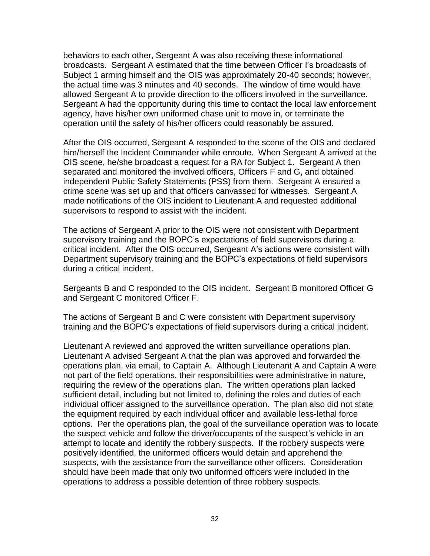behaviors to each other, Sergeant A was also receiving these informational broadcasts. Sergeant A estimated that the time between Officer I's broadcasts of Subject 1 arming himself and the OIS was approximately 20-40 seconds; however, the actual time was 3 minutes and 40 seconds. The window of time would have allowed Sergeant A to provide direction to the officers involved in the surveillance. Sergeant A had the opportunity during this time to contact the local law enforcement agency, have his/her own uniformed chase unit to move in, or terminate the operation until the safety of his/her officers could reasonably be assured.

After the OIS occurred, Sergeant A responded to the scene of the OIS and declared him/herself the Incident Commander while enroute. When Sergeant A arrived at the OIS scene, he/she broadcast a request for a RA for Subject 1. Sergeant A then separated and monitored the involved officers, Officers F and G, and obtained independent Public Safety Statements (PSS) from them. Sergeant A ensured a crime scene was set up and that officers canvassed for witnesses. Sergeant A made notifications of the OIS incident to Lieutenant A and requested additional supervisors to respond to assist with the incident.

The actions of Sergeant A prior to the OIS were not consistent with Department supervisory training and the BOPC's expectations of field supervisors during a critical incident. After the OIS occurred, Sergeant A's actions were consistent with Department supervisory training and the BOPC's expectations of field supervisors during a critical incident.

Sergeants B and C responded to the OIS incident. Sergeant B monitored Officer G and Sergeant C monitored Officer F.

The actions of Sergeant B and C were consistent with Department supervisory training and the BOPC's expectations of field supervisors during a critical incident.

Lieutenant A reviewed and approved the written surveillance operations plan. Lieutenant A advised Sergeant A that the plan was approved and forwarded the operations plan, via email, to Captain A. Although Lieutenant A and Captain A were not part of the field operations, their responsibilities were administrative in nature, requiring the review of the operations plan. The written operations plan lacked sufficient detail, including but not limited to, defining the roles and duties of each individual officer assigned to the surveillance operation. The plan also did not state the equipment required by each individual officer and available less-lethal force options. Per the operations plan, the goal of the surveillance operation was to locate the suspect vehicle and follow the driver/occupants of the suspect's vehicle in an attempt to locate and identify the robbery suspects. If the robbery suspects were positively identified, the uniformed officers would detain and apprehend the suspects, with the assistance from the surveillance other officers. Consideration should have been made that only two uniformed officers were included in the operations to address a possible detention of three robbery suspects.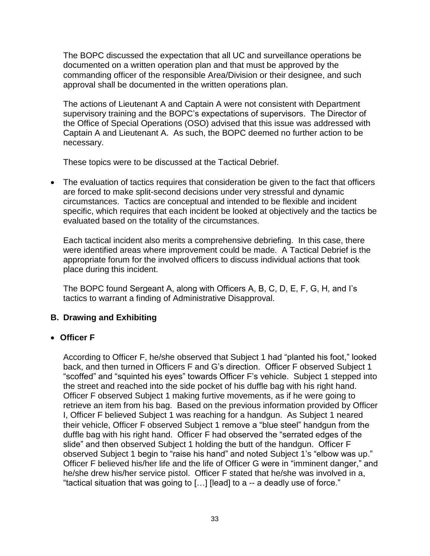The BOPC discussed the expectation that all UC and surveillance operations be documented on a written operation plan and that must be approved by the commanding officer of the responsible Area/Division or their designee, and such approval shall be documented in the written operations plan.

The actions of Lieutenant A and Captain A were not consistent with Department supervisory training and the BOPC's expectations of supervisors. The Director of the Office of Special Operations (OSO) advised that this issue was addressed with Captain A and Lieutenant A. As such, the BOPC deemed no further action to be necessary.

These topics were to be discussed at the Tactical Debrief.

• The evaluation of tactics requires that consideration be given to the fact that officers are forced to make split-second decisions under very stressful and dynamic circumstances. Tactics are conceptual and intended to be flexible and incident specific, which requires that each incident be looked at objectively and the tactics be evaluated based on the totality of the circumstances.

Each tactical incident also merits a comprehensive debriefing. In this case, there were identified areas where improvement could be made. A Tactical Debrief is the appropriate forum for the involved officers to discuss individual actions that took place during this incident.

The BOPC found Sergeant A, along with Officers A, B, C, D, E, F, G, H, and I's tactics to warrant a finding of Administrative Disapproval.

## **B. Drawing and Exhibiting**

## • **Officer F**

According to Officer F, he/she observed that Subject 1 had "planted his foot," looked back, and then turned in Officers F and G's direction. Officer F observed Subject 1 "scoffed" and "squinted his eyes" towards Officer F's vehicle. Subject 1 stepped into the street and reached into the side pocket of his duffle bag with his right hand. Officer F observed Subject 1 making furtive movements, as if he were going to retrieve an item from his bag. Based on the previous information provided by Officer I, Officer F believed Subject 1 was reaching for a handgun. As Subject 1 neared their vehicle, Officer F observed Subject 1 remove a "blue steel" handgun from the duffle bag with his right hand. Officer F had observed the "serrated edges of the slide" and then observed Subject 1 holding the butt of the handgun. Officer F observed Subject 1 begin to "raise his hand" and noted Subject 1's "elbow was up." Officer F believed his/her life and the life of Officer G were in "imminent danger," and he/she drew his/her service pistol. Officer F stated that he/she was involved in a, "tactical situation that was going to […] [lead] to a -- a deadly use of force."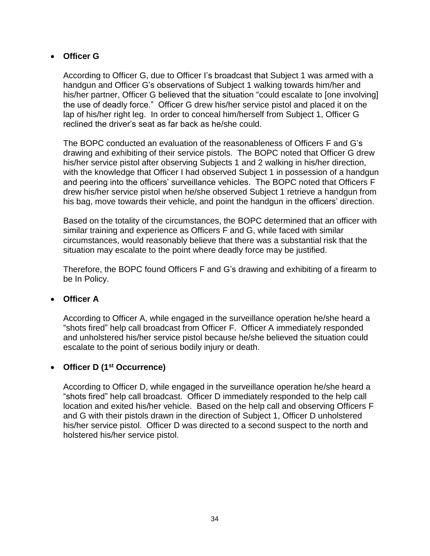## • **Officer G**

According to Officer G, due to Officer I's broadcast that Subject 1 was armed with a handgun and Officer G's observations of Subject 1 walking towards him/her and his/her partner, Officer G believed that the situation "could escalate to [one involving] the use of deadly force." Officer G drew his/her service pistol and placed it on the lap of his/her right leg. In order to conceal him/herself from Subject 1, Officer G reclined the driver's seat as far back as he/she could.

The BOPC conducted an evaluation of the reasonableness of Officers F and G's drawing and exhibiting of their service pistols. The BOPC noted that Officer G drew his/her service pistol after observing Subjects 1 and 2 walking in his/her direction, with the knowledge that Officer I had observed Subject 1 in possession of a handgun and peering into the officers' surveillance vehicles. The BOPC noted that Officers F drew his/her service pistol when he/she observed Subject 1 retrieve a handgun from his bag, move towards their vehicle, and point the handgun in the officers' direction.

Based on the totality of the circumstances, the BOPC determined that an officer with similar training and experience as Officers F and G, while faced with similar circumstances, would reasonably believe that there was a substantial risk that the situation may escalate to the point where deadly force may be justified.

Therefore, the BOPC found Officers F and G's drawing and exhibiting of a firearm to be In Policy.

#### • **Officer A**

According to Officer A, while engaged in the surveillance operation he/she heard a "shots fired" help call broadcast from Officer F. Officer A immediately responded and unholstered his/her service pistol because he/she believed the situation could escalate to the point of serious bodily injury or death.

## • **Officer D (1st Occurrence)**

According to Officer D, while engaged in the surveillance operation he/she heard a "shots fired" help call broadcast. Officer D immediately responded to the help call location and exited his/her vehicle. Based on the help call and observing Officers F and G with their pistols drawn in the direction of Subject 1, Officer D unholstered his/her service pistol. Officer D was directed to a second suspect to the north and holstered his/her service pistol.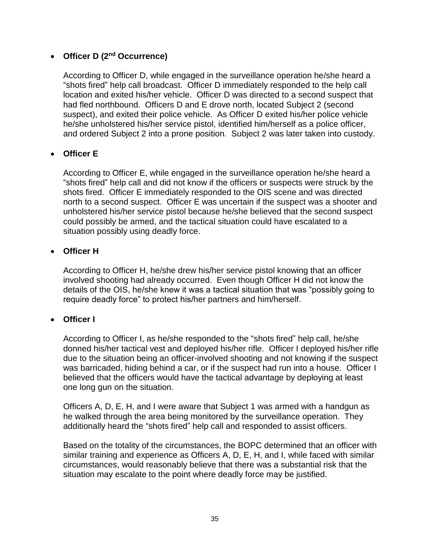# • **Officer D (2nd Occurrence)**

According to Officer D, while engaged in the surveillance operation he/she heard a "shots fired" help call broadcast. Officer D immediately responded to the help call location and exited his/her vehicle. Officer D was directed to a second suspect that had fled northbound. Officers D and E drove north, located Subject 2 (second suspect), and exited their police vehicle. As Officer D exited his/her police vehicle he/she unholstered his/her service pistol, identified him/herself as a police officer, and ordered Subject 2 into a prone position. Subject 2 was later taken into custody.

## • **Officer E**

According to Officer E, while engaged in the surveillance operation he/she heard a "shots fired" help call and did not know if the officers or suspects were struck by the shots fired. Officer E immediately responded to the OIS scene and was directed north to a second suspect. Officer E was uncertain if the suspect was a shooter and unholstered his/her service pistol because he/she believed that the second suspect could possibly be armed, and the tactical situation could have escalated to a situation possibly using deadly force.

## • **Officer H**

According to Officer H, he/she drew his/her service pistol knowing that an officer involved shooting had already occurred. Even though Officer H did not know the details of the OIS, he/she knew it was a tactical situation that was "possibly going to require deadly force" to protect his/her partners and him/herself.

## • **Officer I**

According to Officer I, as he/she responded to the "shots fired" help call, he/she donned his/her tactical vest and deployed his/her rifle. Officer I deployed his/her rifle due to the situation being an officer-involved shooting and not knowing if the suspect was barricaded, hiding behind a car, or if the suspect had run into a house. Officer I believed that the officers would have the tactical advantage by deploying at least one long gun on the situation.

Officers A, D, E, H, and I were aware that Subject 1 was armed with a handgun as he walked through the area being monitored by the surveillance operation. They additionally heard the "shots fired" help call and responded to assist officers.

Based on the totality of the circumstances, the BOPC determined that an officer with similar training and experience as Officers A, D, E, H, and I, while faced with similar circumstances, would reasonably believe that there was a substantial risk that the situation may escalate to the point where deadly force may be justified.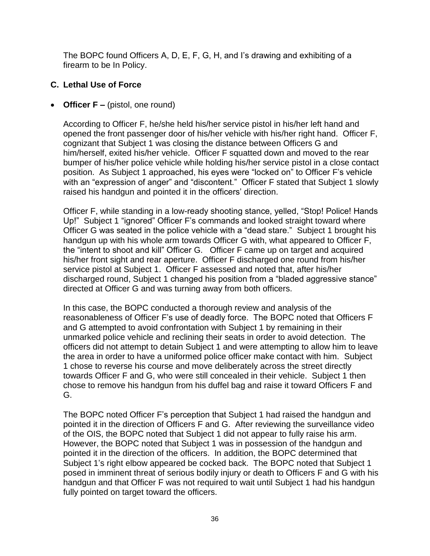The BOPC found Officers A, D, E, F, G, H, and I's drawing and exhibiting of a firearm to be In Policy.

# **C. Lethal Use of Force**

• **Officer F –** (pistol, one round)

According to Officer F, he/she held his/her service pistol in his/her left hand and opened the front passenger door of his/her vehicle with his/her right hand. Officer F, cognizant that Subject 1 was closing the distance between Officers G and him/herself, exited his/her vehicle. Officer F squatted down and moved to the rear bumper of his/her police vehicle while holding his/her service pistol in a close contact position. As Subject 1 approached, his eyes were "locked on" to Officer F's vehicle with an "expression of anger" and "discontent." Officer F stated that Subject 1 slowly raised his handgun and pointed it in the officers' direction.

Officer F, while standing in a low-ready shooting stance, yelled, "Stop! Police! Hands Up!" Subject 1 "ignored" Officer F's commands and looked straight toward where Officer G was seated in the police vehicle with a "dead stare." Subject 1 brought his handgun up with his whole arm towards Officer G with, what appeared to Officer F, the "intent to shoot and kill" Officer G. Officer F came up on target and acquired his/her front sight and rear aperture. Officer F discharged one round from his/her service pistol at Subject 1. Officer F assessed and noted that, after his/her discharged round, Subject 1 changed his position from a "bladed aggressive stance" directed at Officer G and was turning away from both officers.

In this case, the BOPC conducted a thorough review and analysis of the reasonableness of Officer F's use of deadly force. The BOPC noted that Officers F and G attempted to avoid confrontation with Subject 1 by remaining in their unmarked police vehicle and reclining their seats in order to avoid detection. The officers did not attempt to detain Subject 1 and were attempting to allow him to leave the area in order to have a uniformed police officer make contact with him. Subject 1 chose to reverse his course and move deliberately across the street directly towards Officer F and G, who were still concealed in their vehicle. Subject 1 then chose to remove his handgun from his duffel bag and raise it toward Officers F and G.

The BOPC noted Officer F's perception that Subject 1 had raised the handgun and pointed it in the direction of Officers F and G. After reviewing the surveillance video of the OIS, the BOPC noted that Subject 1 did not appear to fully raise his arm. However, the BOPC noted that Subject 1 was in possession of the handgun and pointed it in the direction of the officers. In addition, the BOPC determined that Subject 1's right elbow appeared be cocked back. The BOPC noted that Subject 1 posed in imminent threat of serious bodily injury or death to Officers F and G with his handgun and that Officer F was not required to wait until Subject 1 had his handgun fully pointed on target toward the officers.